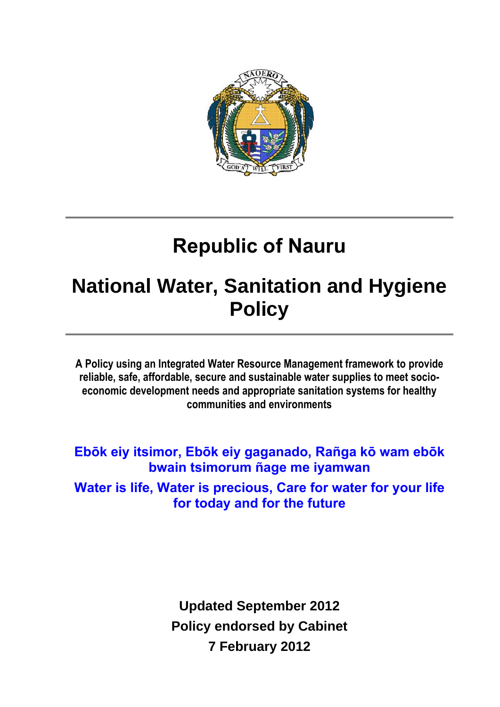

# **Republic of Nauru**

# **National Water, Sanitation and Hygiene Policy**

**A Policy using an Integrated Water Resource Management framework to provide reliable, safe, affordable, secure and sustainable water supplies to meet socioeconomic development needs and appropriate sanitation systems for healthy communities and environments**

**Ebōk eiy itsimor, Ebōk eiy gaganado, Rañga kō wam ebōk bwain tsimorum ñage me iyamwan Water is life, Water is precious, Care for water for your life for today and for the future**

> **Updated September 2012 Policy endorsed by Cabinet 7 February 2012**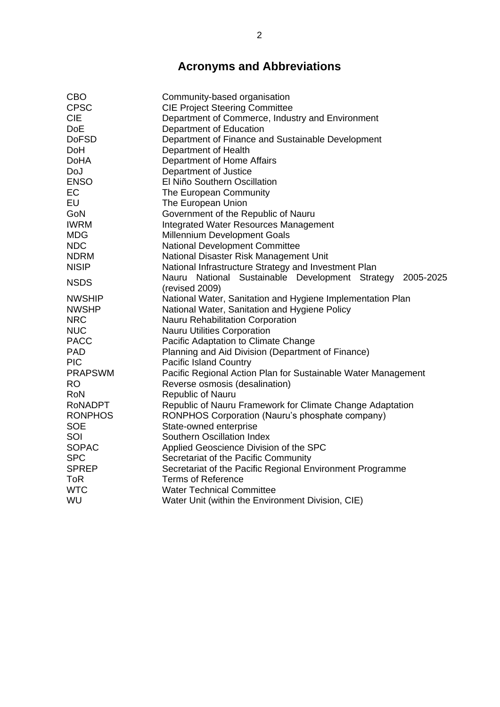### **Acronyms and Abbreviations**

| <b>CBO</b>     | Community-based organisation                                  |
|----------------|---------------------------------------------------------------|
| <b>CPSC</b>    | <b>CIE Project Steering Committee</b>                         |
| <b>CIE</b>     | Department of Commerce, Industry and Environment              |
| <b>DoE</b>     | Department of Education                                       |
| <b>DoFSD</b>   | Department of Finance and Sustainable Development             |
| DoH            | Department of Health                                          |
| <b>DoHA</b>    | Department of Home Affairs                                    |
| DoJ            | Department of Justice                                         |
| <b>ENSO</b>    | El Niño Southern Oscillation                                  |
| EC             | The European Community                                        |
| EU             | The European Union                                            |
| GoN            | Government of the Republic of Nauru                           |
| <b>IWRM</b>    | Integrated Water Resources Management                         |
| <b>MDG</b>     | Millennium Development Goals                                  |
| <b>NDC</b>     | National Development Committee                                |
| <b>NDRM</b>    | National Disaster Risk Management Unit                        |
| <b>NISIP</b>   | National Infrastructure Strategy and Investment Plan          |
|                | Nauru National Sustainable Development Strategy<br>2005-2025  |
| <b>NSDS</b>    | (revised 2009)                                                |
| <b>NWSHIP</b>  | National Water, Sanitation and Hygiene Implementation Plan    |
| <b>NWSHP</b>   | National Water, Sanitation and Hygiene Policy                 |
| <b>NRC</b>     | Nauru Rehabilitation Corporation                              |
| <b>NUC</b>     | <b>Nauru Utilities Corporation</b>                            |
| <b>PACC</b>    | Pacific Adaptation to Climate Change                          |
| <b>PAD</b>     | Planning and Aid Division (Department of Finance)             |
| <b>PIC</b>     | <b>Pacific Island Country</b>                                 |
| <b>PRAPSWM</b> | Pacific Regional Action Plan for Sustainable Water Management |
| <b>RO</b>      | Reverse osmosis (desalination)                                |
| <b>RoN</b>     | Republic of Nauru                                             |
| <b>RONADPT</b> | Republic of Nauru Framework for Climate Change Adaptation     |
| <b>RONPHOS</b> | RONPHOS Corporation (Nauru's phosphate company)               |
| <b>SOE</b>     | State-owned enterprise                                        |
| SOI            | Southern Oscillation Index                                    |
| <b>SOPAC</b>   | Applied Geoscience Division of the SPC                        |
| <b>SPC</b>     | Secretariat of the Pacific Community                          |
| <b>SPREP</b>   | Secretariat of the Pacific Regional Environment Programme     |
| <b>ToR</b>     | <b>Terms of Reference</b>                                     |
| <b>WTC</b>     | <b>Water Technical Committee</b>                              |
| WU             | Water Unit (within the Environment Division, CIE)             |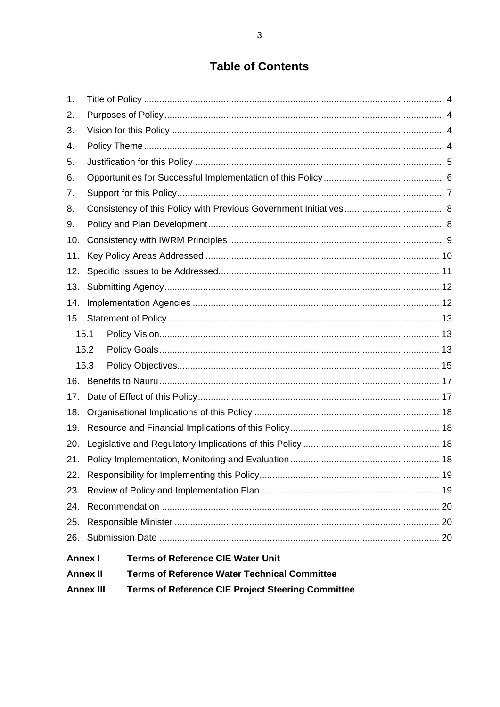### **Table of Contents**

| 1.   |                                                                                                 |                                   |  |  |
|------|-------------------------------------------------------------------------------------------------|-----------------------------------|--|--|
| 2.   |                                                                                                 |                                   |  |  |
| 3.   |                                                                                                 |                                   |  |  |
| 4.   |                                                                                                 |                                   |  |  |
| 5.   |                                                                                                 |                                   |  |  |
| 6.   |                                                                                                 |                                   |  |  |
| 7.   |                                                                                                 |                                   |  |  |
| 8.   |                                                                                                 |                                   |  |  |
| 9.   |                                                                                                 |                                   |  |  |
| 10.  |                                                                                                 |                                   |  |  |
| 11.  |                                                                                                 |                                   |  |  |
| 12.  |                                                                                                 |                                   |  |  |
| 13.  |                                                                                                 |                                   |  |  |
| 14.  |                                                                                                 |                                   |  |  |
|      |                                                                                                 |                                   |  |  |
| 15.1 |                                                                                                 |                                   |  |  |
| 15.2 |                                                                                                 |                                   |  |  |
| 15.3 |                                                                                                 |                                   |  |  |
| 16.  |                                                                                                 |                                   |  |  |
| 17.  |                                                                                                 |                                   |  |  |
| 18.  |                                                                                                 |                                   |  |  |
| 19.  |                                                                                                 |                                   |  |  |
| 20.  |                                                                                                 |                                   |  |  |
| 21.  |                                                                                                 |                                   |  |  |
| 22.  |                                                                                                 |                                   |  |  |
| 23.  |                                                                                                 |                                   |  |  |
| 24.  |                                                                                                 |                                   |  |  |
| 25.  |                                                                                                 |                                   |  |  |
|      |                                                                                                 |                                   |  |  |
|      | <b>Terms of Reference CIE Water Unit</b><br><b>Terms of Reference Water Technical Committee</b> | <b>Annex I</b><br><b>Annex II</b> |  |  |

**Terms of Reference CIE Project Steering Committee Annex III**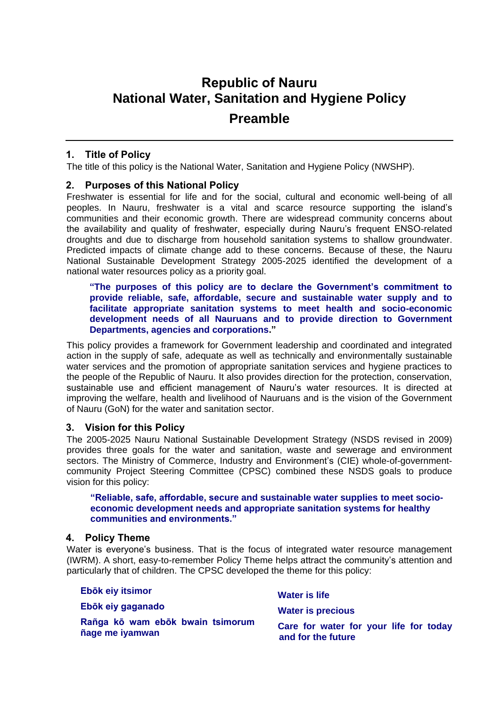## **Republic of Nauru National Water, Sanitation and Hygiene Policy Preamble**

#### <span id="page-3-0"></span>**1. Title of Policy**

The title of this policy is the National Water, Sanitation and Hygiene Policy (NWSHP).

#### <span id="page-3-1"></span>**2. Purposes of this National Policy**

Freshwater is essential for life and for the social, cultural and economic well-being of all peoples. In Nauru, freshwater is a vital and scarce resource supporting the island's communities and their economic growth. There are widespread community concerns about the availability and quality of freshwater, especially during Nauru's frequent ENSO-related droughts and due to discharge from household sanitation systems to shallow groundwater. Predicted impacts of climate change add to these concerns. Because of these, the Nauru National Sustainable Development Strategy 2005-2025 identified the development of a national water resources policy as a priority goal.

#### **"The purposes of this policy are to declare the Government's commitment to provide reliable, safe, affordable, secure and sustainable water supply and to facilitate appropriate sanitation systems to meet health and socio-economic development needs of all Nauruans and to provide direction to Government Departments, agencies and corporations."**

This policy provides a framework for Government leadership and coordinated and integrated action in the supply of safe, adequate as well as technically and environmentally sustainable water services and the promotion of appropriate sanitation services and hygiene practices to the people of the Republic of Nauru. It also provides direction for the protection, conservation, sustainable use and efficient management of Nauru's water resources. It is directed at improving the welfare, health and livelihood of Nauruans and is the vision of the Government of Nauru (GoN) for the water and sanitation sector.

#### <span id="page-3-2"></span>**3. Vision for this Policy**

The 2005-2025 Nauru National Sustainable Development Strategy (NSDS revised in 2009) provides three goals for the water and sanitation, waste and sewerage and environment sectors. The Ministry of Commerce, Industry and Environment's (CIE) whole-of-governmentcommunity Project Steering Committee (CPSC) combined these NSDS goals to produce vision for this policy:

#### **"Reliable, safe, affordable, secure and sustainable water supplies to meet socioeconomic development needs and appropriate sanitation systems for healthy communities and environments."**

#### <span id="page-3-3"></span>**4. Policy Theme**

Water is everyone's business. That is the focus of integrated water resource management (IWRM). A short, easy-to-remember Policy Theme helps attract the community's attention and particularly that of children. The CPSC developed the theme for this policy:

| Ebōk eiy itsimor                                    | Water is life                                                |
|-----------------------------------------------------|--------------------------------------------------------------|
| Ebōk eiy gaganado                                   | <b>Water is precious</b>                                     |
| Rañga kō wam ebōk bwain tsimorum<br>ñage me iyamwan | Care for water for your life for today<br>and for the future |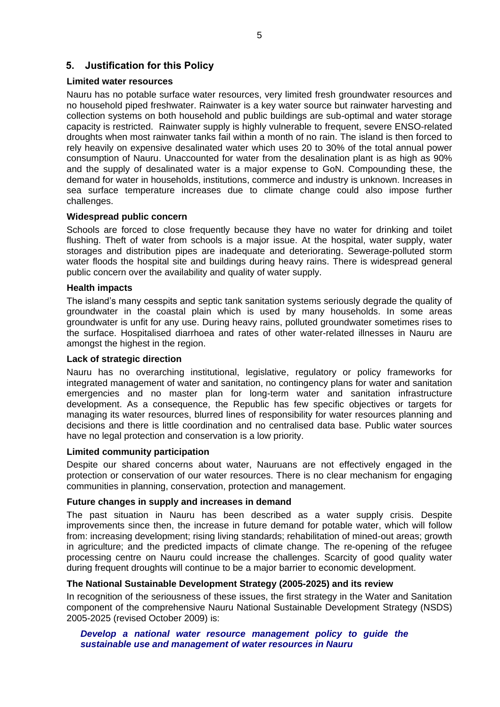#### <span id="page-4-0"></span>**5. Justification for this Policy**

#### **Limited water resources**

Nauru has no potable surface water resources, very limited fresh groundwater resources and no household piped freshwater. Rainwater is a key water source but rainwater harvesting and collection systems on both household and public buildings are sub-optimal and water storage capacity is restricted. Rainwater supply is highly vulnerable to frequent, severe ENSO-related droughts when most rainwater tanks fail within a month of no rain. The island is then forced to rely heavily on expensive desalinated water which uses 20 to 30% of the total annual power consumption of Nauru. Unaccounted for water from the desalination plant is as high as 90% and the supply of desalinated water is a major expense to GoN. Compounding these, the demand for water in households, institutions, commerce and industry is unknown. Increases in sea surface temperature increases due to climate change could also impose further challenges.

#### **Widespread public concern**

Schools are forced to close frequently because they have no water for drinking and toilet flushing. Theft of water from schools is a major issue. At the hospital, water supply, water storages and distribution pipes are inadequate and deteriorating. Sewerage-polluted storm water floods the hospital site and buildings during heavy rains. There is widespread general public concern over the availability and quality of water supply.

#### **Health impacts**

The island's many cesspits and septic tank sanitation systems seriously degrade the quality of groundwater in the coastal plain which is used by many households. In some areas groundwater is unfit for any use. During heavy rains, polluted groundwater sometimes rises to the surface. Hospitalised diarrhoea and rates of other water-related illnesses in Nauru are amongst the highest in the region.

#### **Lack of strategic direction**

Nauru has no overarching institutional, legislative, regulatory or policy frameworks for integrated management of water and sanitation, no contingency plans for water and sanitation emergencies and no master plan for long-term water and sanitation infrastructure development. As a consequence, the Republic has few specific objectives or targets for managing its water resources, blurred lines of responsibility for water resources planning and decisions and there is little coordination and no centralised data base. Public water sources have no legal protection and conservation is a low priority.

#### **Limited community participation**

Despite our shared concerns about water, Nauruans are not effectively engaged in the protection or conservation of our water resources. There is no clear mechanism for engaging communities in planning, conservation, protection and management.

#### **Future changes in supply and increases in demand**

The past situation in Nauru has been described as a water supply crisis. Despite improvements since then, the increase in future demand for potable water, which will follow from: increasing development; rising living standards; rehabilitation of mined-out areas; growth in agriculture; and the predicted impacts of climate change. The re-opening of the refugee processing centre on Nauru could increase the challenges. Scarcity of good quality water during frequent droughts will continue to be a major barrier to economic development.

#### **The National Sustainable Development Strategy (2005-2025) and its review**

In recognition of the seriousness of these issues, the first strategy in the Water and Sanitation component of the comprehensive Nauru National Sustainable Development Strategy (NSDS) 2005-2025 (revised October 2009) is:

*Develop a national water resource management policy to guide the sustainable use and management of water resources in Nauru*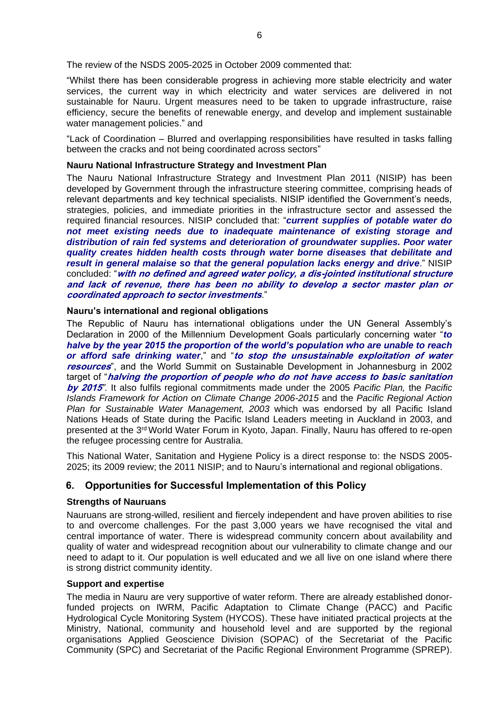The review of the NSDS 2005-2025 in October 2009 commented that:

"Whilst there has been considerable progress in achieving more stable electricity and water services, the current way in which electricity and water services are delivered in not sustainable for Nauru. Urgent measures need to be taken to upgrade infrastructure, raise efficiency, secure the benefits of renewable energy, and develop and implement sustainable water management policies." and

"Lack of Coordination – Blurred and overlapping responsibilities have resulted in tasks falling between the cracks and not being coordinated across sectors"

#### **Nauru National Infrastructure Strategy and Investment Plan**

The Nauru National Infrastructure Strategy and Investment Plan 2011 (NISIP) has been developed by Government through the infrastructure steering committee, comprising heads of relevant departments and key technical specialists. NISIP identified the Government's needs, strategies, policies, and immediate priorities in the infrastructure sector and assessed the required financial resources. NISIP concluded that: "*current supplies of potable water do not meet existing needs due to inadequate maintenance of existing storage and distribution of rain fed systems and deterioration of groundwater supplies. Poor water quality creates hidden health costs through water borne diseases that debilitate and result in general malaise so that the general population lacks energy and drive.*" NISIP concluded: "**with no defined and agreed water policy, a dis-jointed institutional structure and lack of revenue, there has been no ability to develop a sector master plan or coordinated approach to sector investments**."

#### **Nauru's international and regional obligations**

The Republic of Nauru has international obligations under the UN General Assembly's Declaration in 2000 of the Millennium Development Goals particularly concerning water "*to halve by the year 2015 the proportion of the world's population who are unable to reach or afford safe drinking water*," and "**to stop the unsustainable exploitation of water resources**", and the World Summit on Sustainable Development in Johannesburg in 2002 target of "**halving the proportion of people who do not have access to basic sanitation by 2015***".* It also fulfils regional commitments made under the 2005 *Pacific Plan,* the *Pacific Islands Framework for Action on Climate Change 2006-2015* and the *Pacific Regional Action Plan for Sustainable Water Management, 2003* which was endorsed by all Pacific Island Nations Heads of State during the Pacific Island Leaders meeting in Auckland in 2003, and presented at the 3rd World Water Forum in Kyoto, Japan. Finally, Nauru has offered to re-open the refugee processing centre for Australia.

This National Water, Sanitation and Hygiene Policy is a direct response to: the NSDS 2005- 2025; its 2009 review; the 2011 NISIP; and to Nauru's international and regional obligations.

#### <span id="page-5-0"></span>**6. Opportunities for Successful Implementation of this Policy**

#### **Strengths of Nauruans**

Nauruans are strong-willed, resilient and fiercely independent and have proven abilities to rise to and overcome challenges. For the past 3,000 years we have recognised the vital and central importance of water. There is widespread community concern about availability and quality of water and widespread recognition about our vulnerability to climate change and our need to adapt to it. Our population is well educated and we all live on one island where there is strong district community identity.

#### **Support and expertise**

The media in Nauru are very supportive of water reform. There are already established donorfunded projects on IWRM, Pacific Adaptation to Climate Change (PACC) and Pacific Hydrological Cycle Monitoring System (HYCOS). These have initiated practical projects at the Ministry, National, community and household level and are supported by the regional organisations Applied Geoscience Division (SOPAC) of the Secretariat of the Pacific Community (SPC) and Secretariat of the Pacific Regional Environment Programme (SPREP).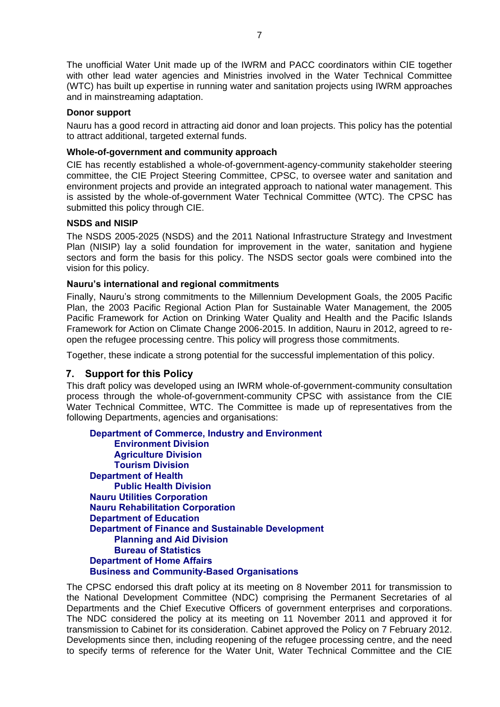The unofficial Water Unit made up of the IWRM and PACC coordinators within CIE together with other lead water agencies and Ministries involved in the Water Technical Committee (WTC) has built up expertise in running water and sanitation projects using IWRM approaches and in mainstreaming adaptation.

#### **Donor support**

Nauru has a good record in attracting aid donor and loan projects. This policy has the potential to attract additional, targeted external funds.

#### **Whole-of-government and community approach**

CIE has recently established a whole-of-government-agency-community stakeholder steering committee, the CIE Project Steering Committee, CPSC, to oversee water and sanitation and environment projects and provide an integrated approach to national water management. This is assisted by the whole-of-government Water Technical Committee (WTC). The CPSC has submitted this policy through CIE.

#### **NSDS and NISIP**

The NSDS 2005-2025 (NSDS) and the 2011 National Infrastructure Strategy and Investment Plan (NISIP) lay a solid foundation for improvement in the water, sanitation and hygiene sectors and form the basis for this policy. The NSDS sector goals were combined into the vision for this policy.

#### **Nauru's international and regional commitments**

Finally, Nauru's strong commitments to the Millennium Development Goals, the 2005 Pacific Plan, the 2003 Pacific Regional Action Plan for Sustainable Water Management, the 2005 Pacific Framework for Action on Drinking Water Quality and Health and the Pacific Islands Framework for Action on Climate Change 2006-2015. In addition, Nauru in 2012, agreed to reopen the refugee processing centre. This policy will progress those commitments.

Together, these indicate a strong potential for the successful implementation of this policy.

#### <span id="page-6-0"></span>**7. Support for this Policy**

This draft policy was developed using an IWRM whole-of-government-community consultation process through the whole-of-government-community CPSC with assistance from the CIE Water Technical Committee, WTC. The Committee is made up of representatives from the following Departments, agencies and organisations:

**Department of Commerce, Industry and Environment Environment Division Agriculture Division Tourism Division Department of Health Public Health Division Nauru Utilities Corporation Nauru Rehabilitation Corporation Department of Education Department of Finance and Sustainable Development Planning and Aid Division Bureau of Statistics Department of Home Affairs Business and Community-Based Organisations** 

The CPSC endorsed this draft policy at its meeting on 8 November 2011 for transmission to the National Development Committee (NDC) comprising the Permanent Secretaries of al Departments and the Chief Executive Officers of government enterprises and corporations. The NDC considered the policy at its meeting on 11 November 2011 and approved it for transmission to Cabinet for its consideration. Cabinet approved the Policy on 7 February 2012. Developments since then, including reopening of the refugee processing centre, and the need to specify terms of reference for the Water Unit, Water Technical Committee and the CIE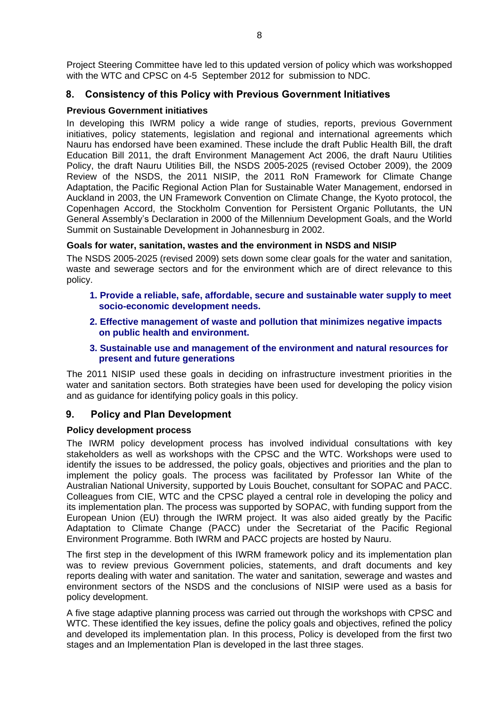Project Steering Committee have led to this updated version of policy which was workshopped with the WTC and CPSC on 4-5 September 2012 for submission to NDC.

#### <span id="page-7-0"></span>**8. Consistency of this Policy with Previous Government Initiatives**

#### **Previous Government initiatives**

In developing this IWRM policy a wide range of studies, reports, previous Government initiatives, policy statements, legislation and regional and international agreements which Nauru has endorsed have been examined. These include the draft Public Health Bill, the draft Education Bill 2011, the draft Environment Management Act 2006, the draft Nauru Utilities Policy, the draft Nauru Utilities Bill, the NSDS 2005-2025 (revised October 2009), the 2009 Review of the NSDS, the 2011 NISIP, the 2011 RoN Framework for Climate Change Adaptation, the Pacific Regional Action Plan for Sustainable Water Management, endorsed in Auckland in 2003, the UN Framework Convention on Climate Change, the Kyoto protocol, the Copenhagen Accord, the Stockholm Convention for Persistent Organic Pollutants, the UN General Assembly's Declaration in 2000 of the Millennium Development Goals, and the World Summit on Sustainable Development in Johannesburg in 2002.

#### **Goals for water, sanitation, wastes and the environment in NSDS and NISIP**

The NSDS 2005-2025 (revised 2009) sets down some clear goals for the water and sanitation, waste and sewerage sectors and for the environment which are of direct relevance to this policy.

- **1. Provide a reliable, safe, affordable, secure and sustainable water supply to meet socio-economic development needs.**
- **2. Effective management of waste and pollution that minimizes negative impacts on public health and environment.**
- **3. Sustainable use and management of the environment and natural resources for present and future generations**

The 2011 NISIP used these goals in deciding on infrastructure investment priorities in the water and sanitation sectors. Both strategies have been used for developing the policy vision and as guidance for identifying policy goals in this policy.

#### <span id="page-7-1"></span>**9. Policy and Plan Development**

#### **Policy development process**

The IWRM policy development process has involved individual consultations with key stakeholders as well as workshops with the CPSC and the WTC. Workshops were used to identify the issues to be addressed, the policy goals, objectives and priorities and the plan to implement the policy goals. The process was facilitated by Professor Ian White of the Australian National University, supported by Louis Bouchet, consultant for SOPAC and PACC. Colleagues from CIE, WTC and the CPSC played a central role in developing the policy and its implementation plan. The process was supported by SOPAC, with funding support from the European Union (EU) through the IWRM project. It was also aided greatly by the Pacific Adaptation to Climate Change (PACC) under the Secretariat of the Pacific Regional Environment Programme. Both IWRM and PACC projects are hosted by Nauru.

The first step in the development of this IWRM framework policy and its implementation plan was to review previous Government policies, statements, and draft documents and key reports dealing with water and sanitation. The water and sanitation, sewerage and wastes and environment sectors of the NSDS and the conclusions of NISIP were used as a basis for policy development.

A five stage adaptive planning process was carried out through the workshops with CPSC and WTC. These identified the key issues, define the policy goals and objectives, refined the policy and developed its implementation plan. In this process, Policy is developed from the first two stages and an Implementation Plan is developed in the last three stages.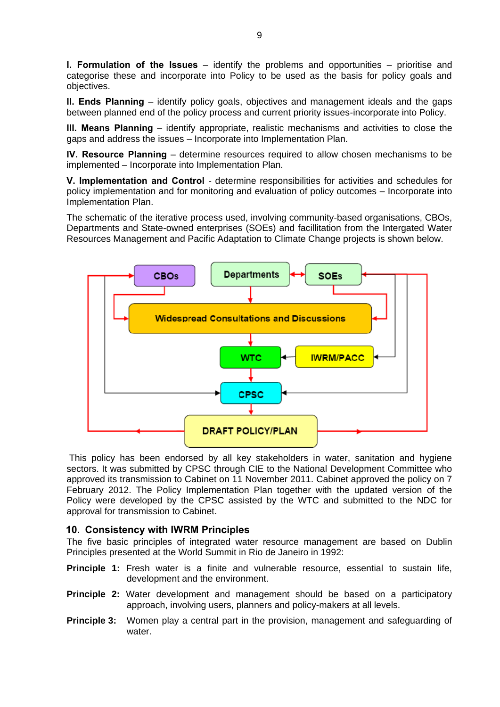**I. Formulation of the Issues** – identify the problems and opportunities – prioritise and categorise these and incorporate into Policy to be used as the basis for policy goals and objectives.

**II. Ends Planning** – identify policy goals, objectives and management ideals and the gaps between planned end of the policy process and current priority issues-incorporate into Policy.

**III. Means Planning** – identify appropriate, realistic mechanisms and activities to close the gaps and address the issues – Incorporate into Implementation Plan.

**IV. Resource Planning** – determine resources required to allow chosen mechanisms to be implemented – Incorporate into Implementation Plan.

**V. Implementation and Control** - determine responsibilities for activities and schedules for policy implementation and for monitoring and evaluation of policy outcomes – Incorporate into Implementation Plan.

The schematic of the iterative process used, involving community-based organisations, CBOs, Departments and State-owned enterprises (SOEs) and facillitation from the Intergated Water Resources Management and Pacific Adaptation to Climate Change projects is shown below.



This policy has been endorsed by all key stakeholders in water, sanitation and hygiene sectors. It was submitted by CPSC through CIE to the National Development Committee who approved its transmission to Cabinet on 11 November 2011. Cabinet approved the policy on 7 February 2012. The Policy Implementation Plan together with the updated version of the Policy were developed by the CPSC assisted by the WTC and submitted to the NDC for approval for transmission to Cabinet.

#### <span id="page-8-0"></span>**10. Consistency with IWRM Principles**

The five basic principles of integrated water resource management are based on Dublin Principles presented at the World Summit in Rio de Janeiro in 1992:

- **Principle 1:** Fresh water is a finite and vulnerable resource, essential to sustain life, development and the environment.
- **Principle 2:** Water development and management should be based on a participatory approach, involving users, planners and policy-makers at all levels.
- **Principle 3:** Women play a central part in the provision, management and safeguarding of water.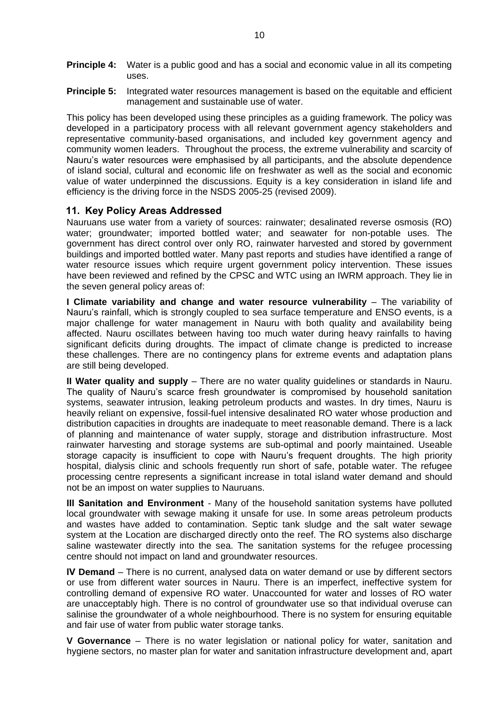- **Principle 4:** Water is a public good and has a social and economic value in all its competing uses.
- **Principle 5:** Integrated water resources management is based on the equitable and efficient management and sustainable use of water.

This policy has been developed using these principles as a guiding framework. The policy was developed in a participatory process with all relevant government agency stakeholders and representative community-based organisations, and included key government agency and community women leaders. Throughout the process, the extreme vulnerability and scarcity of Nauru's water resources were emphasised by all participants, and the absolute dependence of island social, cultural and economic life on freshwater as well as the social and economic value of water underpinned the discussions. Equity is a key consideration in island life and efficiency is the driving force in the NSDS 2005-25 (revised 2009).

#### <span id="page-9-0"></span>**11. Key Policy Areas Addressed**

Nauruans use water from a variety of sources: rainwater; desalinated reverse osmosis (RO) water; groundwater; imported bottled water; and seawater for non-potable uses. The government has direct control over only RO, rainwater harvested and stored by government buildings and imported bottled water. Many past reports and studies have identified a range of water resource issues which require urgent government policy intervention. These issues have been reviewed and refined by the CPSC and WTC using an IWRM approach. They lie in the seven general policy areas of:

**I Climate variability and change and water resource vulnerability** – The variability of Nauru's rainfall, which is strongly coupled to sea surface temperature and ENSO events, is a major challenge for water management in Nauru with both quality and availability being affected. Nauru oscillates between having too much water during heavy rainfalls to having significant deficits during droughts. The impact of climate change is predicted to increase these challenges. There are no contingency plans for extreme events and adaptation plans are still being developed.

**II Water quality and supply** – There are no water quality guidelines or standards in Nauru. The quality of Nauru's scarce fresh groundwater is compromised by household sanitation systems, seawater intrusion, leaking petroleum products and wastes. In dry times, Nauru is heavily reliant on expensive, fossil-fuel intensive desalinated RO water whose production and distribution capacities in droughts are inadequate to meet reasonable demand. There is a lack of planning and maintenance of water supply, storage and distribution infrastructure. Most rainwater harvesting and storage systems are sub-optimal and poorly maintained. Useable storage capacity is insufficient to cope with Nauru's frequent droughts. The high priority hospital, dialysis clinic and schools frequently run short of safe, potable water. The refugee processing centre represents a significant increase in total island water demand and should not be an impost on water supplies to Nauruans.

**III Sanitation and Environment** - Many of the household sanitation systems have polluted local groundwater with sewage making it unsafe for use. In some areas petroleum products and wastes have added to contamination. Septic tank sludge and the salt water sewage system at the Location are discharged directly onto the reef. The RO systems also discharge saline wastewater directly into the sea. The sanitation systems for the refugee processing centre should not impact on land and groundwater resources.

**IV Demand** – There is no current, analysed data on water demand or use by different sectors or use from different water sources in Nauru. There is an imperfect, ineffective system for controlling demand of expensive RO water. Unaccounted for water and losses of RO water are unacceptably high. There is no control of groundwater use so that individual overuse can salinise the groundwater of a whole neighbourhood. There is no system for ensuring equitable and fair use of water from public water storage tanks.

**V Governance** – There is no water legislation or national policy for water, sanitation and hygiene sectors, no master plan for water and sanitation infrastructure development and, apart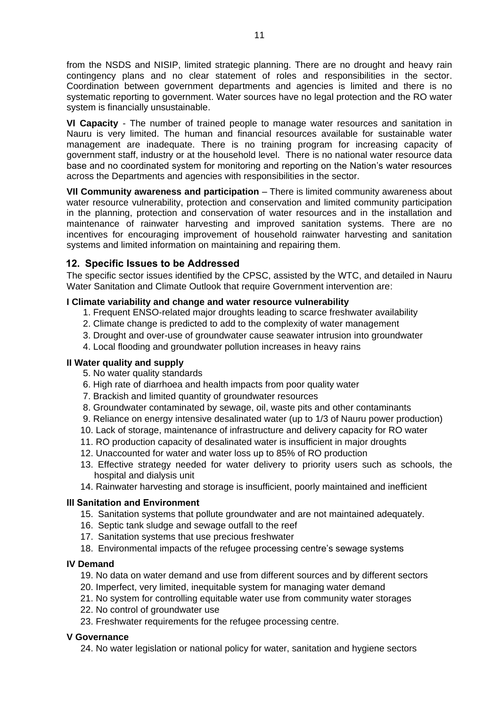from the NSDS and NISIP, limited strategic planning. There are no drought and heavy rain contingency plans and no clear statement of roles and responsibilities in the sector. Coordination between government departments and agencies is limited and there is no systematic reporting to government. Water sources have no legal protection and the RO water system is financially unsustainable.

**VI Capacity** - The number of trained people to manage water resources and sanitation in Nauru is very limited. The human and financial resources available for sustainable water management are inadequate. There is no training program for increasing capacity of government staff, industry or at the household level. There is no national water resource data base and no coordinated system for monitoring and reporting on the Nation's water resources across the Departments and agencies with responsibilities in the sector.

**VII Community awareness and participation** – There is limited community awareness about water resource vulnerability, protection and conservation and limited community participation in the planning, protection and conservation of water resources and in the installation and maintenance of rainwater harvesting and improved sanitation systems. There are no incentives for encouraging improvement of household rainwater harvesting and sanitation systems and limited information on maintaining and repairing them.

#### <span id="page-10-0"></span>**12. Specific Issues to be Addressed**

The specific sector issues identified by the CPSC, assisted by the WTC, and detailed in Nauru Water Sanitation and Climate Outlook that require Government intervention are:

#### **I Climate variability and change and water resource vulnerability**

- 1. Frequent ENSO-related major droughts leading to scarce freshwater availability
- 2. Climate change is predicted to add to the complexity of water management
- 3. Drought and over-use of groundwater cause seawater intrusion into groundwater
- 4. Local flooding and groundwater pollution increases in heavy rains

#### **II Water quality and supply**

- 5. No water quality standards
- 6. High rate of diarrhoea and health impacts from poor quality water
- 7. Brackish and limited quantity of groundwater resources
- 8. Groundwater contaminated by sewage, oil, waste pits and other contaminants
- 9. Reliance on energy intensive desalinated water (up to 1/3 of Nauru power production)
- 10. Lack of storage, maintenance of infrastructure and delivery capacity for RO water
- 11. RO production capacity of desalinated water is insufficient in major droughts
- 12. Unaccounted for water and water loss up to 85% of RO production
- 13. Effective strategy needed for water delivery to priority users such as schools, the hospital and dialysis unit
- 14. Rainwater harvesting and storage is insufficient, poorly maintained and inefficient

#### **III Sanitation and Environment**

- 15. Sanitation systems that pollute groundwater and are not maintained adequately.
- 16. Septic tank sludge and sewage outfall to the reef
- 17. Sanitation systems that use precious freshwater
- 18. Environmental impacts of the refugee processing centre's sewage systems

#### **IV Demand**

- 19. No data on water demand and use from different sources and by different sectors
- 20. Imperfect, very limited, inequitable system for managing water demand
- 21. No system for controlling equitable water use from community water storages
- 22. No control of groundwater use
- 23. Freshwater requirements for the refugee processing centre.

#### **V Governance**

24. No water legislation or national policy for water, sanitation and hygiene sectors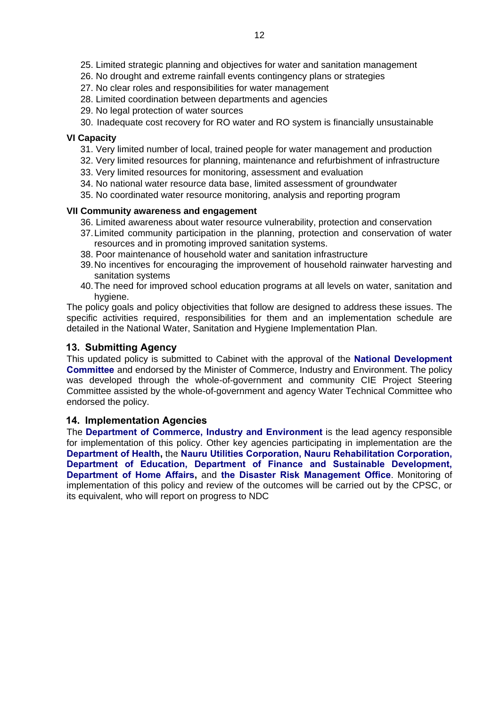- 25. Limited strategic planning and objectives for water and sanitation management
- 26. No drought and extreme rainfall events contingency plans or strategies
- 27. No clear roles and responsibilities for water management
- 28. Limited coordination between departments and agencies
- 29. No legal protection of water sources
- 30. Inadequate cost recovery for RO water and RO system is financially unsustainable

#### **VI Capacity**

- 31. Very limited number of local, trained people for water management and production
- 32. Very limited resources for planning, maintenance and refurbishment of infrastructure
- 33. Very limited resources for monitoring, assessment and evaluation
- 34. No national water resource data base, limited assessment of groundwater
- 35. No coordinated water resource monitoring, analysis and reporting program

#### **VII Community awareness and engagement**

- 36. Limited awareness about water resource vulnerability, protection and conservation
- 37.Limited community participation in the planning, protection and conservation of water resources and in promoting improved sanitation systems.
- 38. Poor maintenance of household water and sanitation infrastructure
- 39.No incentives for encouraging the improvement of household rainwater harvesting and sanitation systems
- 40.The need for improved school education programs at all levels on water, sanitation and hygiene.

The policy goals and policy objectivities that follow are designed to address these issues. The specific activities required, responsibilities for them and an implementation schedule are detailed in the National Water, Sanitation and Hygiene Implementation Plan.

#### <span id="page-11-0"></span>**13. Submitting Agency**

This updated policy is submitted to Cabinet with the approval of the **National Development Committee** and endorsed by the Minister of Commerce, Industry and Environment. The policy was developed through the whole-of-government and community CIE Project Steering Committee assisted by the whole-of-government and agency Water Technical Committee who endorsed the policy.

#### <span id="page-11-1"></span>**14. Implementation Agencies**

The **Department of Commerce, Industry and Environment** is the lead agency responsible for implementation of this policy. Other key agencies participating in implementation are the **Department of Health,** the **Nauru Utilities Corporation, Nauru Rehabilitation Corporation, Department of Education, Department of Finance and Sustainable Development, Department of Home Affairs,** and **the Disaster Risk Management Office**. Monitoring of implementation of this policy and review of the outcomes will be carried out by the CPSC, or its equivalent, who will report on progress to NDC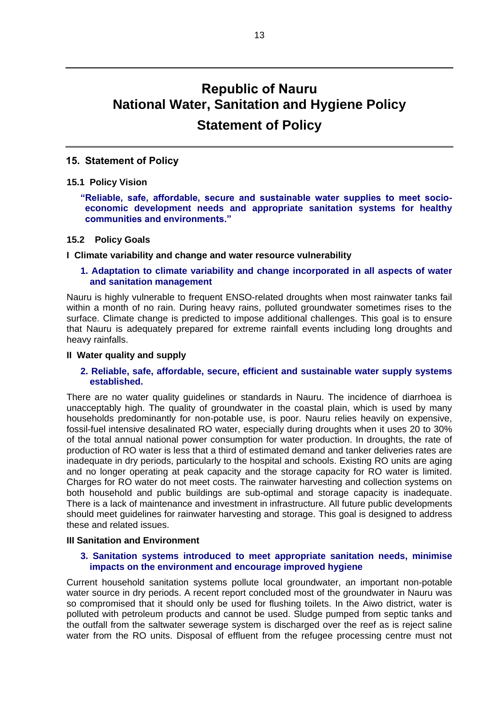### **Republic of Nauru National Water, Sanitation and Hygiene Policy Statement of Policy**

#### <span id="page-12-0"></span>**15. Statement of Policy**

#### <span id="page-12-1"></span>**15.1 Policy Vision**

**"Reliable, safe, affordable, secure and sustainable water supplies to meet socioeconomic development needs and appropriate sanitation systems for healthy communities and environments."** 

#### <span id="page-12-2"></span>**15.2 Policy Goals**

#### **I Climate variability and change and water resource vulnerability**

#### **1. Adaptation to climate variability and change incorporated in all aspects of water and sanitation management**

Nauru is highly vulnerable to frequent ENSO-related droughts when most rainwater tanks fail within a month of no rain. During heavy rains, polluted groundwater sometimes rises to the surface. Climate change is predicted to impose additional challenges. This goal is to ensure that Nauru is adequately prepared for extreme rainfall events including long droughts and heavy rainfalls.

#### **II Water quality and supply**

#### **2. Reliable, safe, affordable, secure, efficient and sustainable water supply systems established.**

There are no water quality guidelines or standards in Nauru. The incidence of diarrhoea is unacceptably high. The quality of groundwater in the coastal plain, which is used by many households predominantly for non-potable use, is poor. Nauru relies heavily on expensive, fossil-fuel intensive desalinated RO water, especially during droughts when it uses 20 to 30% of the total annual national power consumption for water production. In droughts, the rate of production of RO water is less that a third of estimated demand and tanker deliveries rates are inadequate in dry periods, particularly to the hospital and schools. Existing RO units are aging and no longer operating at peak capacity and the storage capacity for RO water is limited. Charges for RO water do not meet costs. The rainwater harvesting and collection systems on both household and public buildings are sub-optimal and storage capacity is inadequate. There is a lack of maintenance and investment in infrastructure. All future public developments should meet guidelines for rainwater harvesting and storage. This goal is designed to address these and related issues.

#### **III Sanitation and Environment**

#### **3. Sanitation systems introduced to meet appropriate sanitation needs, minimise impacts on the environment and encourage improved hygiene**

Current household sanitation systems pollute local groundwater, an important non-potable water source in dry periods. A recent report concluded most of the groundwater in Nauru was so compromised that it should only be used for flushing toilets. In the Aiwo district, water is polluted with petroleum products and cannot be used. Sludge pumped from septic tanks and the outfall from the saltwater sewerage system is discharged over the reef as is reject saline water from the RO units. Disposal of effluent from the refugee processing centre must not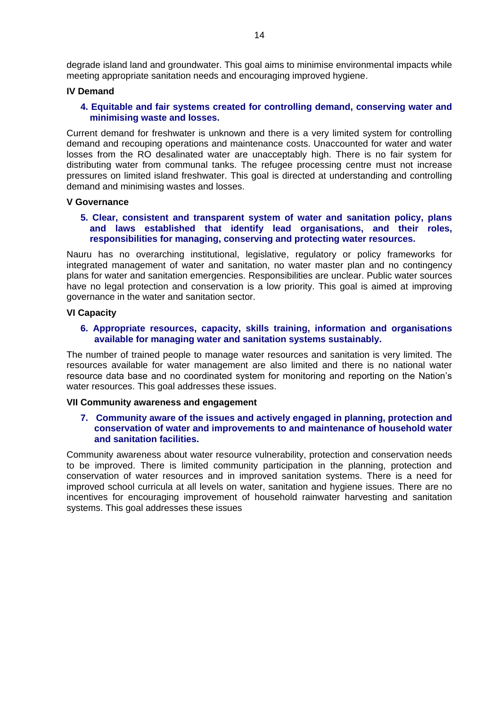degrade island land and groundwater. This goal aims to minimise environmental impacts while meeting appropriate sanitation needs and encouraging improved hygiene.

#### **IV Demand**

#### **4. Equitable and fair systems created for controlling demand, conserving water and minimising waste and losses.**

Current demand for freshwater is unknown and there is a very limited system for controlling demand and recouping operations and maintenance costs. Unaccounted for water and water losses from the RO desalinated water are unacceptably high. There is no fair system for distributing water from communal tanks. The refugee processing centre must not increase pressures on limited island freshwater. This goal is directed at understanding and controlling demand and minimising wastes and losses.

#### **V Governance**

#### **5. Clear, consistent and transparent system of water and sanitation policy, plans and laws established that identify lead organisations, and their roles, responsibilities for managing, conserving and protecting water resources.**

Nauru has no overarching institutional, legislative, regulatory or policy frameworks for integrated management of water and sanitation, no water master plan and no contingency plans for water and sanitation emergencies. Responsibilities are unclear. Public water sources have no legal protection and conservation is a low priority. This goal is aimed at improving governance in the water and sanitation sector.

#### **VI Capacity**

#### **6. Appropriate resources, capacity, skills training, information and organisations available for managing water and sanitation systems sustainably.**

The number of trained people to manage water resources and sanitation is very limited. The resources available for water management are also limited and there is no national water resource data base and no coordinated system for monitoring and reporting on the Nation's water resources. This goal addresses these issues.

#### **VII Community awareness and engagement**

#### **7. Community aware of the issues and actively engaged in planning, protection and conservation of water and improvements to and maintenance of household water and sanitation facilities.**

Community awareness about water resource vulnerability, protection and conservation needs to be improved. There is limited community participation in the planning, protection and conservation of water resources and in improved sanitation systems. There is a need for improved school curricula at all levels on water, sanitation and hygiene issues. There are no incentives for encouraging improvement of household rainwater harvesting and sanitation systems. This goal addresses these issues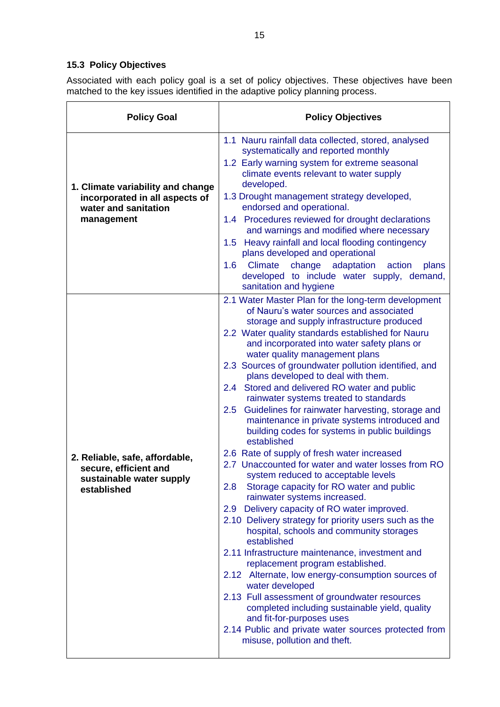### <span id="page-14-0"></span>**15.3 Policy Objectives**

Associated with each policy goal is a set of policy objectives. These objectives have been matched to the key issues identified in the adaptive policy planning process.

| <b>Policy Goal</b>                                                                                        | <b>Policy Objectives</b>                                                                                                                                                                                                                                                                                                                                                                                                                                                                                                                                                                                                                                                                                                                                                                                                                                                                                                                                                                                                                                                                                                                                                                                                                                                                                                                                                                                                                            |
|-----------------------------------------------------------------------------------------------------------|-----------------------------------------------------------------------------------------------------------------------------------------------------------------------------------------------------------------------------------------------------------------------------------------------------------------------------------------------------------------------------------------------------------------------------------------------------------------------------------------------------------------------------------------------------------------------------------------------------------------------------------------------------------------------------------------------------------------------------------------------------------------------------------------------------------------------------------------------------------------------------------------------------------------------------------------------------------------------------------------------------------------------------------------------------------------------------------------------------------------------------------------------------------------------------------------------------------------------------------------------------------------------------------------------------------------------------------------------------------------------------------------------------------------------------------------------------|
| 1. Climate variability and change<br>incorporated in all aspects of<br>water and sanitation<br>management | 1.1 Nauru rainfall data collected, stored, analysed<br>systematically and reported monthly<br>1.2 Early warning system for extreme seasonal<br>climate events relevant to water supply<br>developed.<br>1.3 Drought management strategy developed,<br>endorsed and operational.<br>1.4 Procedures reviewed for drought declarations<br>and warnings and modified where necessary<br>1.5 Heavy rainfall and local flooding contingency<br>plans developed and operational<br>Climate<br>adaptation action<br>change<br>1.6 <sup>°</sup><br>plans<br>developed to include water supply, demand,<br>sanitation and hygiene                                                                                                                                                                                                                                                                                                                                                                                                                                                                                                                                                                                                                                                                                                                                                                                                                             |
| 2. Reliable, safe, affordable,<br>secure, efficient and<br>sustainable water supply<br>established        | 2.1 Water Master Plan for the long-term development<br>of Nauru's water sources and associated<br>storage and supply infrastructure produced<br>2.2 Water quality standards established for Nauru<br>and incorporated into water safety plans or<br>water quality management plans<br>2.3 Sources of groundwater pollution identified, and<br>plans developed to deal with them.<br>Stored and delivered RO water and public<br>2.4<br>rainwater systems treated to standards<br>Guidelines for rainwater harvesting, storage and<br>2.5<br>maintenance in private systems introduced and<br>building codes for systems in public buildings<br>established<br>2.6 Rate of supply of fresh water increased<br>2.7 Unaccounted for water and water losses from RO<br>system reduced to acceptable levels<br>Storage capacity for RO water and public<br>2.8<br>rainwater systems increased.<br>2.9 Delivery capacity of RO water improved.<br>2.10 Delivery strategy for priority users such as the<br>hospital, schools and community storages<br>established<br>2.11 Infrastructure maintenance, investment and<br>replacement program established.<br>2.12 Alternate, low energy-consumption sources of<br>water developed<br>2.13 Full assessment of groundwater resources<br>completed including sustainable yield, quality<br>and fit-for-purposes uses<br>2.14 Public and private water sources protected from<br>misuse, pollution and theft. |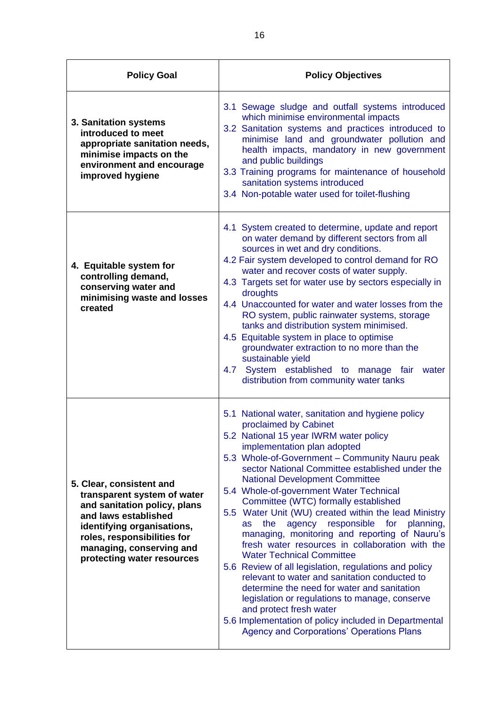| <b>Policy Goal</b>                                                                                                                                                                                                                     | <b>Policy Objectives</b>                                                                                                                                                                                                                                                                                                                                                                                                                                                                                                                                                                                                                                                                                                                                                                                                                                                                                                                                                                              |
|----------------------------------------------------------------------------------------------------------------------------------------------------------------------------------------------------------------------------------------|-------------------------------------------------------------------------------------------------------------------------------------------------------------------------------------------------------------------------------------------------------------------------------------------------------------------------------------------------------------------------------------------------------------------------------------------------------------------------------------------------------------------------------------------------------------------------------------------------------------------------------------------------------------------------------------------------------------------------------------------------------------------------------------------------------------------------------------------------------------------------------------------------------------------------------------------------------------------------------------------------------|
| 3. Sanitation systems<br>introduced to meet<br>appropriate sanitation needs,<br>minimise impacts on the<br>environment and encourage<br>improved hygiene                                                                               | 3.1 Sewage sludge and outfall systems introduced<br>which minimise environmental impacts<br>3.2 Sanitation systems and practices introduced to<br>minimise land and groundwater pollution and<br>health impacts, mandatory in new government<br>and public buildings<br>3.3 Training programs for maintenance of household<br>sanitation systems introduced<br>3.4 Non-potable water used for toilet-flushing                                                                                                                                                                                                                                                                                                                                                                                                                                                                                                                                                                                         |
| 4. Equitable system for<br>controlling demand,<br>conserving water and<br>minimising waste and losses<br>created                                                                                                                       | 4.1 System created to determine, update and report<br>on water demand by different sectors from all<br>sources in wet and dry conditions.<br>4.2 Fair system developed to control demand for RO<br>water and recover costs of water supply.<br>4.3 Targets set for water use by sectors especially in<br>droughts<br>4.4 Unaccounted for water and water losses from the<br>RO system, public rainwater systems, storage<br>tanks and distribution system minimised.<br>4.5 Equitable system in place to optimise<br>groundwater extraction to no more than the<br>sustainable yield<br>System established to manage fair water<br>4.7<br>distribution from community water tanks                                                                                                                                                                                                                                                                                                                     |
| 5. Clear, consistent and<br>transparent system of water<br>and sanitation policy, plans<br>and laws established<br>identifying organisations,<br>roles, responsibilities for<br>managing, conserving and<br>protecting water resources | 5.1 National water, sanitation and hygiene policy<br>proclaimed by Cabinet<br>5.2 National 15 year IWRM water policy<br>implementation plan adopted<br>5.3 Whole-of-Government - Community Nauru peak<br>sector National Committee established under the<br><b>National Development Committee</b><br>5.4 Whole-of-government Water Technical<br>Committee (WTC) formally established<br>5.5 Water Unit (WU) created within the lead Ministry<br>the<br>agency responsible<br>for<br>planning,<br><b>as</b><br>managing, monitoring and reporting of Nauru's<br>fresh water resources in collaboration with the<br><b>Water Technical Committee</b><br>5.6 Review of all legislation, regulations and policy<br>relevant to water and sanitation conducted to<br>determine the need for water and sanitation<br>legislation or regulations to manage, conserve<br>and protect fresh water<br>5.6 Implementation of policy included in Departmental<br><b>Agency and Corporations' Operations Plans</b> |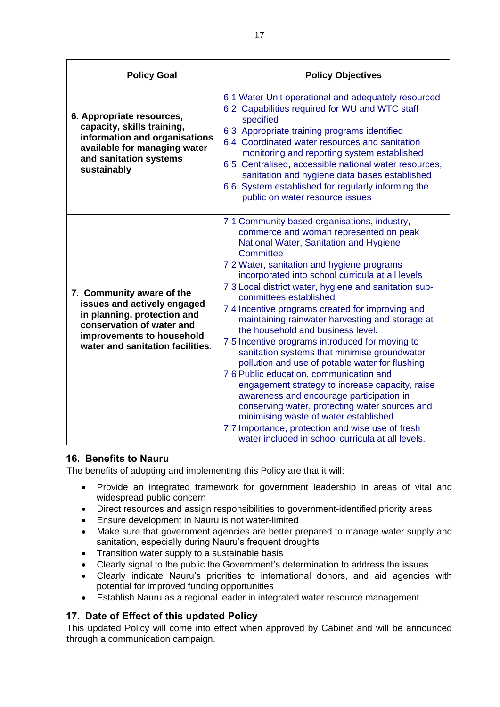| <b>Policy Goal</b>                                                                                                                                                                    | <b>Policy Objectives</b>                                                                                                                                                                                                                                                                                                                                                                                                                                                                                                                                                                                                                                                                                                                                                                                                                                                                                                                                                            |
|---------------------------------------------------------------------------------------------------------------------------------------------------------------------------------------|-------------------------------------------------------------------------------------------------------------------------------------------------------------------------------------------------------------------------------------------------------------------------------------------------------------------------------------------------------------------------------------------------------------------------------------------------------------------------------------------------------------------------------------------------------------------------------------------------------------------------------------------------------------------------------------------------------------------------------------------------------------------------------------------------------------------------------------------------------------------------------------------------------------------------------------------------------------------------------------|
| 6. Appropriate resources,<br>capacity, skills training,<br>information and organisations<br>available for managing water<br>and sanitation systems<br>sustainably                     | 6.1 Water Unit operational and adequately resourced<br>6.2 Capabilities required for WU and WTC staff<br>specified<br>6.3 Appropriate training programs identified<br>6.4 Coordinated water resources and sanitation<br>monitoring and reporting system established<br>6.5 Centralised, accessible national water resources,<br>sanitation and hygiene data bases established<br>6.6 System established for regularly informing the<br>public on water resource issues                                                                                                                                                                                                                                                                                                                                                                                                                                                                                                              |
| 7. Community aware of the<br>issues and actively engaged<br>in planning, protection and<br>conservation of water and<br>improvements to household<br>water and sanitation facilities. | 7.1 Community based organisations, industry,<br>commerce and woman represented on peak<br>National Water, Sanitation and Hygiene<br>Committee<br>7.2 Water, sanitation and hygiene programs<br>incorporated into school curricula at all levels<br>7.3 Local district water, hygiene and sanitation sub-<br>committees established<br>7.4 Incentive programs created for improving and<br>maintaining rainwater harvesting and storage at<br>the household and business level.<br>7.5 Incentive programs introduced for moving to<br>sanitation systems that minimise groundwater<br>pollution and use of potable water for flushing<br>7.6 Public education, communication and<br>engagement strategy to increase capacity, raise<br>awareness and encourage participation in<br>conserving water, protecting water sources and<br>minimising waste of water established.<br>7.7 Importance, protection and wise use of fresh<br>water included in school curricula at all levels. |

#### <span id="page-16-0"></span>**16. Benefits to Nauru**

The benefits of adopting and implementing this Policy are that it will:

- Provide an integrated framework for government leadership in areas of vital and widespread public concern
- Direct resources and assign responsibilities to government-identified priority areas
- Ensure development in Nauru is not water-limited
- Make sure that government agencies are better prepared to manage water supply and sanitation, especially during Nauru's frequent droughts
- Transition water supply to a sustainable basis
- Clearly signal to the public the Government's determination to address the issues
- Clearly indicate Nauru's priorities to international donors, and aid agencies with potential for improved funding opportunities
- <span id="page-16-1"></span>Establish Nauru as a regional leader in integrated water resource management

#### **17. Date of Effect of this updated Policy**

This updated Policy will come into effect when approved by Cabinet and will be announced through a communication campaign.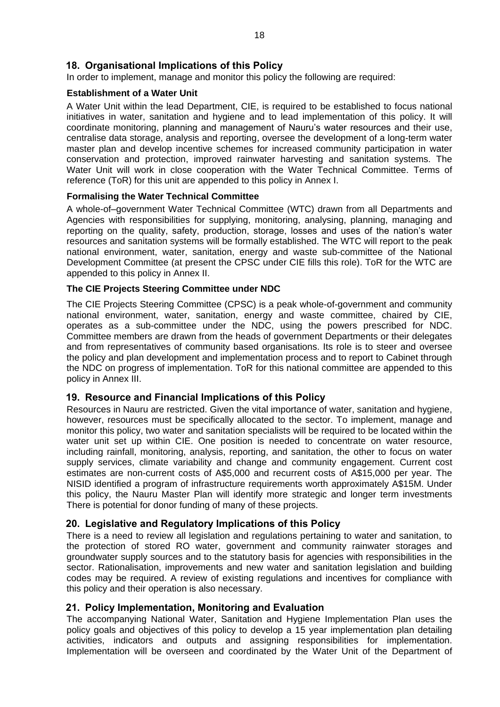#### <span id="page-17-0"></span>**18. Organisational Implications of this Policy**

In order to implement, manage and monitor this policy the following are required:

#### **Establishment of a Water Unit**

A Water Unit within the lead Department, CIE, is required to be established to focus national initiatives in water, sanitation and hygiene and to lead implementation of this policy. It will coordinate monitoring, planning and management of Nauru's water resources and their use, centralise data storage, analysis and reporting, oversee the development of a long-term water master plan and develop incentive schemes for increased community participation in water conservation and protection, improved rainwater harvesting and sanitation systems. The Water Unit will work in close cooperation with the Water Technical Committee. Terms of reference (ToR) for this unit are appended to this policy in Annex I.

#### **Formalising the Water Technical Committee**

A whole-of–government Water Technical Committee (WTC) drawn from all Departments and Agencies with responsibilities for supplying, monitoring, analysing, planning, managing and reporting on the quality, safety, production, storage, losses and uses of the nation's water resources and sanitation systems will be formally established. The WTC will report to the peak national environment, water, sanitation, energy and waste sub-committee of the National Development Committee (at present the CPSC under CIE fills this role). ToR for the WTC are appended to this policy in Annex II.

#### **The CIE Projects Steering Committee under NDC**

The CIE Projects Steering Committee (CPSC) is a peak whole-of-government and community national environment, water, sanitation, energy and waste committee, chaired by CIE, operates as a sub-committee under the NDC, using the powers prescribed for NDC. Committee members are drawn from the heads of government Departments or their delegates and from representatives of community based organisations. Its role is to steer and oversee the policy and plan development and implementation process and to report to Cabinet through the NDC on progress of implementation. ToR for this national committee are appended to this policy in Annex III.

#### <span id="page-17-1"></span>**19. Resource and Financial Implications of this Policy**

Resources in Nauru are restricted. Given the vital importance of water, sanitation and hygiene, however, resources must be specifically allocated to the sector. To implement, manage and monitor this policy, two water and sanitation specialists will be required to be located within the water unit set up within CIE. One position is needed to concentrate on water resource, including rainfall, monitoring, analysis, reporting, and sanitation, the other to focus on water supply services, climate variability and change and community engagement. Current cost estimates are non-current costs of A\$5,000 and recurrent costs of A\$15,000 per year. The NISID identified a program of infrastructure requirements worth approximately A\$15M. Under this policy, the Nauru Master Plan will identify more strategic and longer term investments There is potential for donor funding of many of these projects.

#### <span id="page-17-2"></span>**20. Legislative and Regulatory Implications of this Policy**

There is a need to review all legislation and regulations pertaining to water and sanitation, to the protection of stored RO water, government and community rainwater storages and groundwater supply sources and to the statutory basis for agencies with responsibilities in the sector. Rationalisation, improvements and new water and sanitation legislation and building codes may be required. A review of existing regulations and incentives for compliance with this policy and their operation is also necessary.

#### <span id="page-17-3"></span>**21. Policy Implementation, Monitoring and Evaluation**

The accompanying National Water, Sanitation and Hygiene Implementation Plan uses the policy goals and objectives of this policy to develop a 15 year implementation plan detailing activities, indicators and outputs and assigning responsibilities for implementation. Implementation will be overseen and coordinated by the Water Unit of the Department of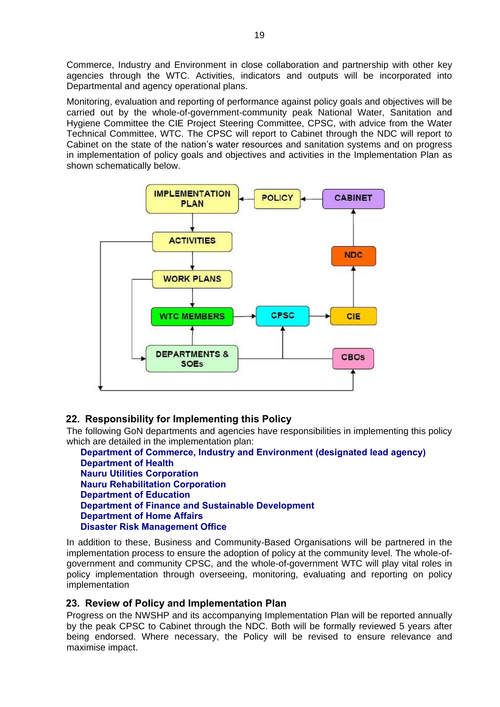Commerce, Industry and Environment in close collaboration and partnership with other key agencies through the WTC. Activities, indicators and outputs will be incorporated into Departmental and agency operational plans.

Monitoring, evaluation and reporting of performance against policy goals and objectives will be carried out by the whole-of-government-community peak National Water, Sanitation and Hygiene Committee the CIE Project Steering Committee, CPSC, with advice from the Water Technical Committee, WTC. The CPSC will report to Cabinet through the NDC will report to Cabinet on the state of the nation's water resources and sanitation systems and on progress in implementation of policy goals and objectives and activities in the Implementation Plan as shown schematically below.



#### <span id="page-18-0"></span>**22. Responsibility for Implementing this Policy**

The following GoN departments and agencies have responsibilities in implementing this policy which are detailed in the implementation plan:

**Department of Commerce, Industry and Environment (designated lead agency) Department of Health Nauru Utilities Corporation Nauru Rehabilitation Corporation Department of Education Department of Finance and Sustainable Development Department of Home Affairs Disaster Risk Management Office**

In addition to these, Business and Community-Based Organisations will be partnered in the implementation process to ensure the adoption of policy at the community level. The whole-ofgovernment and community CPSC, and the whole-of-government WTC will play vital roles in policy implementation through overseeing, monitoring, evaluating and reporting on policy implementation

#### <span id="page-18-1"></span>**23. Review of Policy and Implementation Plan**

Progress on the NWSHP and its accompanying Implementation Plan will be reported annually by the peak CPSC to Cabinet through the NDC. Both will be formally reviewed 5 years after being endorsed. Where necessary, the Policy will be revised to ensure relevance and maximise impact.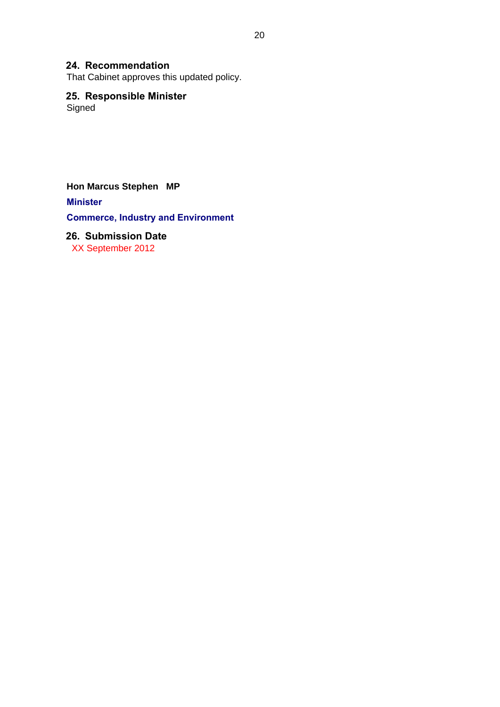#### <span id="page-19-0"></span>**24. Recommendation**

That Cabinet approves this updated policy.

#### <span id="page-19-1"></span>**25. Responsible Minister**

**Signed** 

**Hon Marcus Stephen MP**

**Minister**

**Commerce, Industry and Environment**

### <span id="page-19-2"></span>**26. Submission Date**

XX September 2012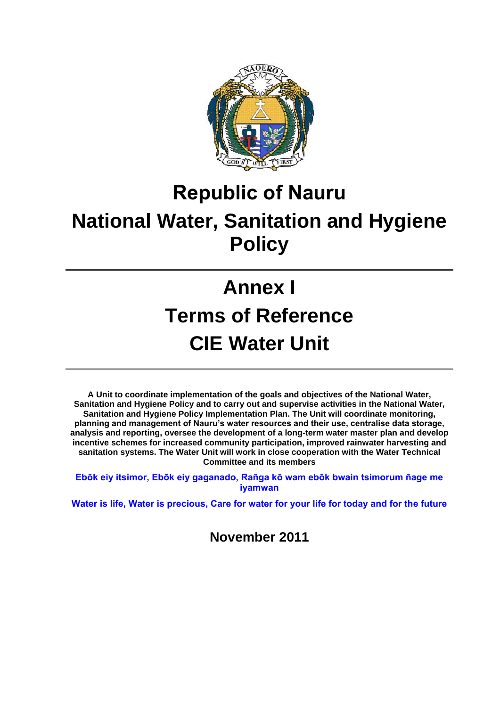

# **Republic of Nauru National Water, Sanitation and Hygiene Policy**

# **Annex I Terms of Reference CIE Water Unit**

**A Unit to coordinate implementation of the goals and objectives of the National Water, Sanitation and Hygiene Policy and to carry out and supervise activities in the National Water, Sanitation and Hygiene Policy Implementation Plan. The Unit will coordinate monitoring, planning and management of Nauru's water resources and their use, centralise data storage, analysis and reporting, oversee the development of a long-term water master plan and develop incentive schemes for increased community participation, improved rainwater harvesting and sanitation systems. The Water Unit will work in close cooperation with the Water Technical Committee and its members** 

**Ebōk eiy itsimor, Ebōk eiy gaganado, Rañga kō wam ebōk bwain tsimorum ñage me iyamwan**

**Water is life, Water is precious, Care for water for your life for today and for the future** 

**November 2011**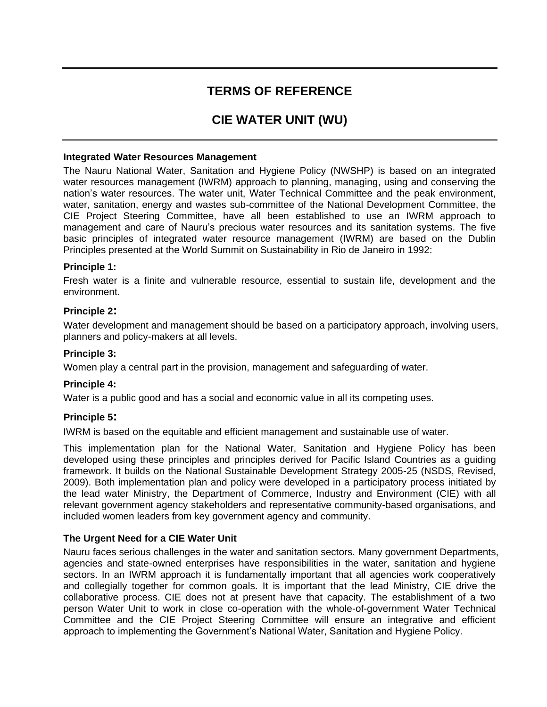### **TERMS OF REFERENCE**

### **CIE WATER UNIT (WU)**

#### **Integrated Water Resources Management**

The Nauru National Water, Sanitation and Hygiene Policy (NWSHP) is based on an integrated water resources management (IWRM) approach to planning, managing, using and conserving the nation's water resources. The water unit, Water Technical Committee and the peak environment, water, sanitation, energy and wastes sub-committee of the National Development Committee, the CIE Project Steering Committee, have all been established to use an IWRM approach to management and care of Nauru's precious water resources and its sanitation systems. The five basic principles of integrated water resource management (IWRM) are based on the Dublin Principles presented at the World Summit on Sustainability in Rio de Janeiro in 1992:

#### **Principle 1:**

Fresh water is a finite and vulnerable resource, essential to sustain life, development and the environment.

#### **Principle 2:**

Water development and management should be based on a participatory approach, involving users, planners and policy-makers at all levels.

#### **Principle 3:**

Women play a central part in the provision, management and safeguarding of water.

#### **Principle 4:**

Water is a public good and has a social and economic value in all its competing uses.

#### **Principle 5:**

IWRM is based on the equitable and efficient management and sustainable use of water.

This implementation plan for the National Water, Sanitation and Hygiene Policy has been developed using these principles and principles derived for Pacific Island Countries as a guiding framework. It builds on the National Sustainable Development Strategy 2005-25 (NSDS, Revised, 2009). Both implementation plan and policy were developed in a participatory process initiated by the lead water Ministry, the Department of Commerce, Industry and Environment (CIE) with all relevant government agency stakeholders and representative community-based organisations, and included women leaders from key government agency and community.

#### **The Urgent Need for a CIE Water Unit**

Nauru faces serious challenges in the water and sanitation sectors. Many government Departments, agencies and state-owned enterprises have responsibilities in the water, sanitation and hygiene sectors. In an IWRM approach it is fundamentally important that all agencies work cooperatively and collegially together for common goals. It is important that the lead Ministry, CIE drive the collaborative process. CIE does not at present have that capacity. The establishment of a two person Water Unit to work in close co-operation with the whole-of-government Water Technical Committee and the CIE Project Steering Committee will ensure an integrative and efficient approach to implementing the Government's National Water, Sanitation and Hygiene Policy.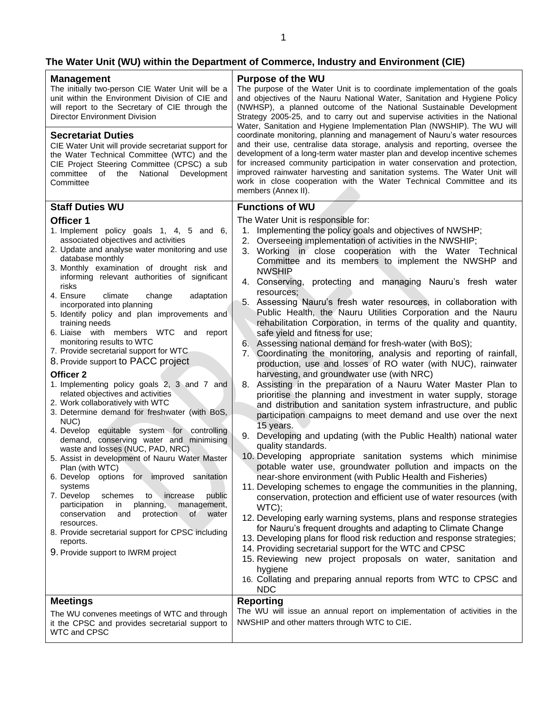### **The Water Unit (WU) within the Department of Commerce, Industry and Environment (CIE)**

| <b>Management</b><br>The initially two-person CIE Water Unit will be a<br>unit within the Environment Division of CIE and<br>will report to the Secretary of CIE through the<br><b>Director Environment Division</b><br><b>Secretariat Duties</b><br>CIE Water Unit will provide secretariat support for<br>the Water Technical Committee (WTC) and the<br>CIE Project Steering Committee (CPSC) a sub<br>National<br>Development<br>committee<br>of<br>the<br>Committee                                                                                                                                                                                                                                                                                                                                                                                                                                                                                                                                                                                                                                                                                                                                                                                                                                                           | <b>Purpose of the WU</b><br>The purpose of the Water Unit is to coordinate implementation of the goals<br>and objectives of the Nauru National Water, Sanitation and Hygiene Policy<br>(NWHSP), a planned outcome of the National Sustainable Development<br>Strategy 2005-25, and to carry out and supervise activities in the National<br>Water, Sanitation and Hygiene Implementation Plan (NWSHIP). The WU will<br>coordinate monitoring, planning and management of Nauru's water resources<br>and their use, centralise data storage, analysis and reporting, oversee the<br>development of a long-term water master plan and develop incentive schemes<br>for increased community participation in water conservation and protection,<br>improved rainwater harvesting and sanitation systems. The Water Unit will<br>work in close cooperation with the Water Technical Committee and its<br>members (Annex II).                                                                                                                                                                                                                                                                                                                                                                                                                                                                                                                                                                                                                                                                                                                                                                                                                                                                                                                                                                                                                                                                                          |  |
|------------------------------------------------------------------------------------------------------------------------------------------------------------------------------------------------------------------------------------------------------------------------------------------------------------------------------------------------------------------------------------------------------------------------------------------------------------------------------------------------------------------------------------------------------------------------------------------------------------------------------------------------------------------------------------------------------------------------------------------------------------------------------------------------------------------------------------------------------------------------------------------------------------------------------------------------------------------------------------------------------------------------------------------------------------------------------------------------------------------------------------------------------------------------------------------------------------------------------------------------------------------------------------------------------------------------------------|-------------------------------------------------------------------------------------------------------------------------------------------------------------------------------------------------------------------------------------------------------------------------------------------------------------------------------------------------------------------------------------------------------------------------------------------------------------------------------------------------------------------------------------------------------------------------------------------------------------------------------------------------------------------------------------------------------------------------------------------------------------------------------------------------------------------------------------------------------------------------------------------------------------------------------------------------------------------------------------------------------------------------------------------------------------------------------------------------------------------------------------------------------------------------------------------------------------------------------------------------------------------------------------------------------------------------------------------------------------------------------------------------------------------------------------------------------------------------------------------------------------------------------------------------------------------------------------------------------------------------------------------------------------------------------------------------------------------------------------------------------------------------------------------------------------------------------------------------------------------------------------------------------------------------------------------------------------------------------------------------------------------|--|
| <b>Staff Duties WU</b><br>Officer 1                                                                                                                                                                                                                                                                                                                                                                                                                                                                                                                                                                                                                                                                                                                                                                                                                                                                                                                                                                                                                                                                                                                                                                                                                                                                                                | <b>Functions of WU</b><br>The Water Unit is responsible for:                                                                                                                                                                                                                                                                                                                                                                                                                                                                                                                                                                                                                                                                                                                                                                                                                                                                                                                                                                                                                                                                                                                                                                                                                                                                                                                                                                                                                                                                                                                                                                                                                                                                                                                                                                                                                                                                                                                                                      |  |
| 1. Implement policy goals 1, 4, 5 and 6,<br>associated objectives and activities<br>2. Update and analyse water monitoring and use<br>database monthly<br>3. Monthly examination of drought risk and<br>informing relevant authorities of significant<br>risks<br>4. Ensure<br>climate<br>change<br>adaptation<br>incorporated into planning<br>5. Identify policy and plan improvements and<br>training needs<br>6. Liaise with members WTC and<br>report<br>monitoring results to WTC<br>7. Provide secretarial support for WTC<br>8. Provide support to PACC project<br>Officer <sub>2</sub><br>1. Implementing policy goals 2, 3 and 7 and<br>related objectives and activities<br>2. Work collaboratively with WTC<br>3. Determine demand for freshwater (with BoS,<br>NUC)<br>4. Develop equitable system for controlling<br>demand, conserving water and minimising<br>waste and losses (NUC, PAD, NRC)<br>5. Assist in development of Nauru Water Master<br>Plan (with WTC)<br>6. Develop options for improved sanitation<br>systems<br>7. Develop<br>increase<br>schemes<br>public<br>to<br>participation<br>planning,<br>management,<br>in<br>and<br>protection<br>conservation<br>$\circ$<br>water<br>resources.<br>8. Provide secretarial support for CPSC including<br>reports.<br>9. Provide support to IWRM project | 1. Implementing the policy goals and objectives of NWSHP;<br>2. Overseeing implementation of activities in the NWSHIP;<br>3. Working in close cooperation with the Water Technical<br>Committee and its members to implement the NWSHP and<br><b>NWSHIP</b><br>4. Conserving, protecting and managing Nauru's fresh water<br>resources:<br>5. Assessing Nauru's fresh water resources, in collaboration with<br>Public Health, the Nauru Utilities Corporation and the Nauru<br>rehabilitation Corporation, in terms of the quality and quantity,<br>safe yield and fitness for use;<br>6. Assessing national demand for fresh-water (with BoS);<br>7. Coordinating the monitoring, analysis and reporting of rainfall,<br>production, use and losses of RO water (with NUC), rainwater<br>harvesting, and groundwater use (with NRC)<br>8. Assisting in the preparation of a Nauru Water Master Plan to<br>prioritise the planning and investment in water supply, storage<br>and distribution and sanitation system infrastructure, and public<br>participation campaigns to meet demand and use over the next<br>15 years.<br>9. Developing and updating (with the Public Health) national water<br>quality standards.<br>10. Developing appropriate sanitation systems which minimise<br>potable water use, groundwater pollution and impacts on the<br>near-shore environment (with Public Health and Fisheries)<br>11. Developing schemes to engage the communities in the planning,<br>conservation, protection and efficient use of water resources (with<br>WTC);<br>12. Developing early warning systems, plans and response strategies<br>for Nauru's frequent droughts and adapting to Climate Change<br>13. Developing plans for flood risk reduction and response strategies;<br>14. Providing secretarial support for the WTC and CPSC<br>15. Reviewing new project proposals on water, sanitation and<br>hygiene<br>16. Collating and preparing annual reports from WTC to CPSC and<br><b>NDC</b> |  |
| <b>Meetings</b>                                                                                                                                                                                                                                                                                                                                                                                                                                                                                                                                                                                                                                                                                                                                                                                                                                                                                                                                                                                                                                                                                                                                                                                                                                                                                                                    | <b>Reporting</b>                                                                                                                                                                                                                                                                                                                                                                                                                                                                                                                                                                                                                                                                                                                                                                                                                                                                                                                                                                                                                                                                                                                                                                                                                                                                                                                                                                                                                                                                                                                                                                                                                                                                                                                                                                                                                                                                                                                                                                                                  |  |
| The WU convenes meetings of WTC and through<br>it the CPSC and provides secretarial support to<br>WTC and CPSC                                                                                                                                                                                                                                                                                                                                                                                                                                                                                                                                                                                                                                                                                                                                                                                                                                                                                                                                                                                                                                                                                                                                                                                                                     | The WU will issue an annual report on implementation of activities in the<br>NWSHIP and other matters through WTC to CIE.                                                                                                                                                                                                                                                                                                                                                                                                                                                                                                                                                                                                                                                                                                                                                                                                                                                                                                                                                                                                                                                                                                                                                                                                                                                                                                                                                                                                                                                                                                                                                                                                                                                                                                                                                                                                                                                                                         |  |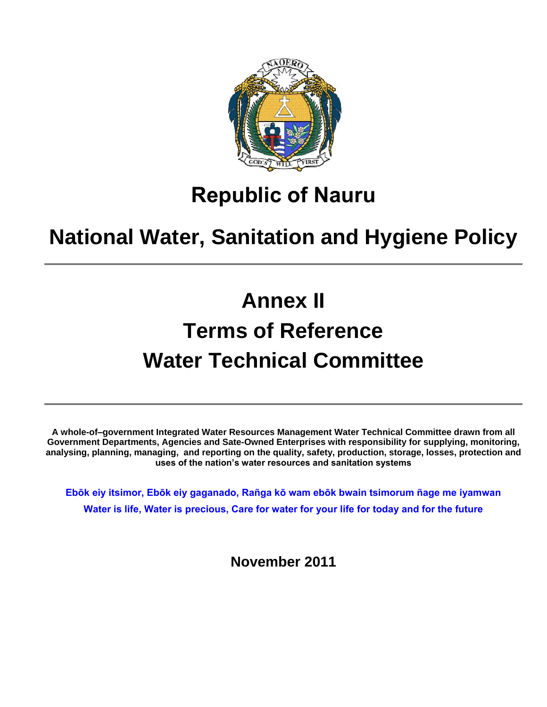

# **Republic of Nauru**

# **National Water, Sanitation and Hygiene Policy**

# **Annex II Terms of Reference Water Technical Committee**

**A whole-of–government Integrated Water Resources Management Water Technical Committee drawn from all Government Departments, Agencies and Sate-Owned Enterprises with responsibility for supplying, monitoring, analysing, planning, managing, and reporting on the quality, safety, production, storage, losses, protection and uses of the nation's water resources and sanitation systems**

**Ebōk eiy itsimor, Ebōk eiy gaganado, Rañga kō wam ebōk bwain tsimorum ñage me iyamwan Water is life, Water is precious, Care for water for your life for today and for the future** 

**November 2011**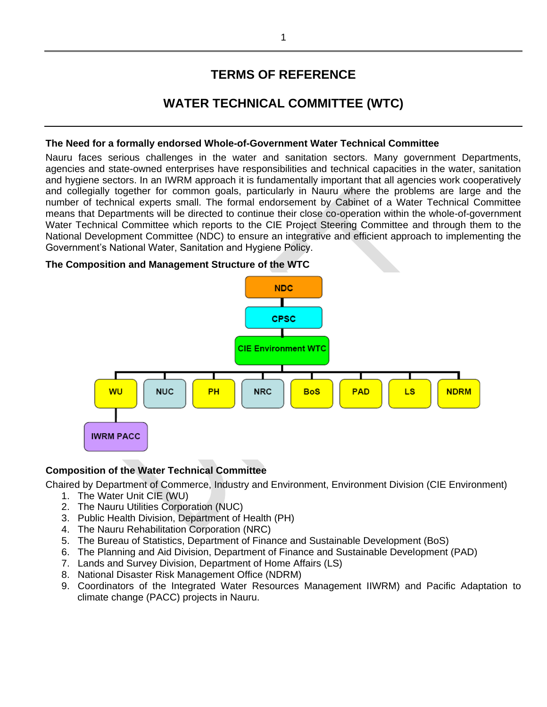### **TERMS OF REFERENCE**

### **WATER TECHNICAL COMMITTEE (WTC)**

#### **The Need for a formally endorsed Whole-of-Government Water Technical Committee**

Nauru faces serious challenges in the water and sanitation sectors. Many government Departments, agencies and state-owned enterprises have responsibilities and technical capacities in the water, sanitation and hygiene sectors. In an IWRM approach it is fundamentally important that all agencies work cooperatively and collegially together for common goals, particularly in Nauru where the problems are large and the number of technical experts small. The formal endorsement by Cabinet of a Water Technical Committee means that Departments will be directed to continue their close co-operation within the whole-of-government Water Technical Committee which reports to the CIE Project Steering Committee and through them to the National Development Committee (NDC) to ensure an integrative and efficient approach to implementing the Government's National Water, Sanitation and Hygiene Policy.

#### **The Composition and Management Structure of the WTC**



#### **Composition of the Water Technical Committee**

Chaired by Department of Commerce, Industry and Environment, Environment Division (CIE Environment)

- 1. The Water Unit CIE (WU)
- 2. The Nauru Utilities Corporation (NUC)
- 3. Public Health Division, Department of Health (PH)
- 4. The Nauru Rehabilitation Corporation (NRC)
- 5. The Bureau of Statistics, Department of Finance and Sustainable Development (BoS)
- 6. The Planning and Aid Division, Department of Finance and Sustainable Development (PAD)
- 7. Lands and Survey Division, Department of Home Affairs (LS)
- 8. National Disaster Risk Management Office (NDRM)
- 9. Coordinators of the Integrated Water Resources Management IIWRM) and Pacific Adaptation to climate change (PACC) projects in Nauru.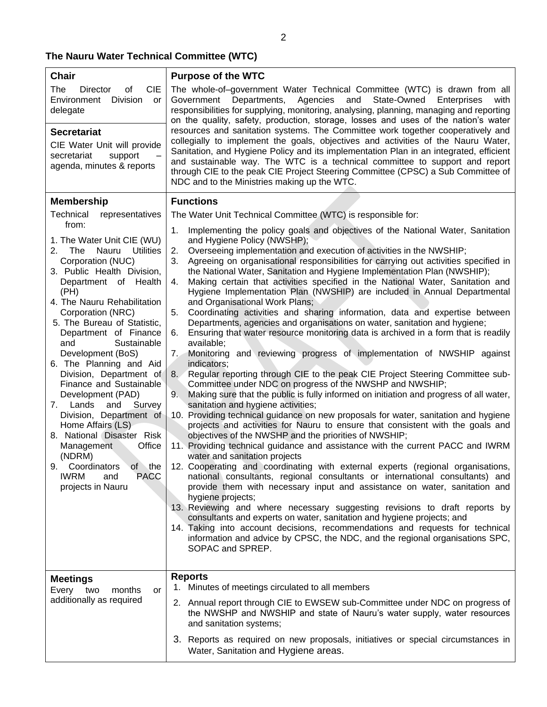| <b>Chair</b><br>of<br><b>CIE</b><br>The<br>Director<br>Division<br>Environment<br>or<br>delegate<br><b>Secretariat</b><br>CIE Water Unit will provide<br>support<br>secretariat<br>agenda, minutes & reports                                                                                                                                                                                                                                                                                                                                                                                                                                                        | <b>Purpose of the WTC</b><br>The whole-of-government Water Technical Committee (WTC) is drawn from all<br>State-Owned Enterprises<br>Agencies<br>and<br>Government Departments,<br>with<br>responsibilities for supplying, monitoring, analysing, planning, managing and reporting<br>on the quality, safety, production, storage, losses and uses of the nation's water<br>resources and sanitation systems. The Committee work together cooperatively and<br>collegially to implement the goals, objectives and activities of the Nauru Water,<br>Sanitation, and Hygiene Policy and its implementation Plan in an integrated, efficient<br>and sustainable way. The WTC is a technical committee to support and report<br>through CIE to the peak CIE Project Steering Committee (CPSC) a Sub Committee of<br>NDC and to the Ministries making up the WTC.                                                                                                                                                                                                                                                                                                                                                                                                                                                                                                                                                                                                                                                                                                                                                                                                                                                                                                                                                                                                                                                                                                                                                                                                                                                                                                                                                                 |  |
|---------------------------------------------------------------------------------------------------------------------------------------------------------------------------------------------------------------------------------------------------------------------------------------------------------------------------------------------------------------------------------------------------------------------------------------------------------------------------------------------------------------------------------------------------------------------------------------------------------------------------------------------------------------------|-------------------------------------------------------------------------------------------------------------------------------------------------------------------------------------------------------------------------------------------------------------------------------------------------------------------------------------------------------------------------------------------------------------------------------------------------------------------------------------------------------------------------------------------------------------------------------------------------------------------------------------------------------------------------------------------------------------------------------------------------------------------------------------------------------------------------------------------------------------------------------------------------------------------------------------------------------------------------------------------------------------------------------------------------------------------------------------------------------------------------------------------------------------------------------------------------------------------------------------------------------------------------------------------------------------------------------------------------------------------------------------------------------------------------------------------------------------------------------------------------------------------------------------------------------------------------------------------------------------------------------------------------------------------------------------------------------------------------------------------------------------------------------------------------------------------------------------------------------------------------------------------------------------------------------------------------------------------------------------------------------------------------------------------------------------------------------------------------------------------------------------------------------------------------------------------------------------------------------|--|
|                                                                                                                                                                                                                                                                                                                                                                                                                                                                                                                                                                                                                                                                     |                                                                                                                                                                                                                                                                                                                                                                                                                                                                                                                                                                                                                                                                                                                                                                                                                                                                                                                                                                                                                                                                                                                                                                                                                                                                                                                                                                                                                                                                                                                                                                                                                                                                                                                                                                                                                                                                                                                                                                                                                                                                                                                                                                                                                               |  |
| <b>Membership</b>                                                                                                                                                                                                                                                                                                                                                                                                                                                                                                                                                                                                                                                   | <b>Functions</b>                                                                                                                                                                                                                                                                                                                                                                                                                                                                                                                                                                                                                                                                                                                                                                                                                                                                                                                                                                                                                                                                                                                                                                                                                                                                                                                                                                                                                                                                                                                                                                                                                                                                                                                                                                                                                                                                                                                                                                                                                                                                                                                                                                                                              |  |
| Technical<br>representatives                                                                                                                                                                                                                                                                                                                                                                                                                                                                                                                                                                                                                                        | The Water Unit Technical Committee (WTC) is responsible for:                                                                                                                                                                                                                                                                                                                                                                                                                                                                                                                                                                                                                                                                                                                                                                                                                                                                                                                                                                                                                                                                                                                                                                                                                                                                                                                                                                                                                                                                                                                                                                                                                                                                                                                                                                                                                                                                                                                                                                                                                                                                                                                                                                  |  |
| from:<br>1. The Water Unit CIE (WU)<br>Nauru<br><b>Utilities</b><br>2. The<br>Corporation (NUC)<br>3. Public Health Division,<br>Department of Health<br>(PH)<br>4. The Nauru Rehabilitation<br>Corporation (NRC)<br>5. The Bureau of Statistic,<br>Department of Finance<br>Sustainable<br>and<br>Development (BoS)<br>6. The Planning and Aid<br>Division, Department of<br>Finance and Sustainable<br>Development (PAD)<br>Survey<br>7.<br>Lands<br>and<br>Division, Department of<br>Home Affairs (LS)<br>8. National Disaster Risk<br>Management<br>Office<br>(NDRM)<br>9.<br>Coordinators<br>of the<br><b>PACC</b><br><b>IWRM</b><br>and<br>projects in Nauru | Implementing the policy goals and objectives of the National Water, Sanitation<br>1.<br>and Hygiene Policy (NWSHP);<br>Overseeing implementation and execution of activities in the NWSHIP;<br>2.<br>Agreeing on organisational responsibilities for carrying out activities specified in<br>3.<br>the National Water, Sanitation and Hygiene Implementation Plan (NWSHIP);<br>Making certain that activities specified in the National Water, Sanitation and<br>4.<br>Hygiene Implementation Plan (NWSHIP) are included in Annual Departmental<br>and Organisational Work Plans;<br>Coordinating activities and sharing information, data and expertise between<br>5.<br>Departments, agencies and organisations on water, sanitation and hygiene;<br>Ensuring that water resource monitoring data is archived in a form that is readily<br>6.<br>available;<br>Monitoring and reviewing progress of implementation of NWSHIP against<br>7.7<br>indicators;<br>Regular reporting through CIE to the peak CIE Project Steering Committee sub-<br>8.7<br>Committee under NDC on progress of the NWSHP and NWSHIP;<br>Making sure that the public is fully informed on initiation and progress of all water,<br>9.<br>sanitation and hygiene activities;<br>10. Providing technical guidance on new proposals for water, sanitation and hygiene<br>projects and activities for Nauru to ensure that consistent with the goals and<br>objectives of the NWSHP and the priorities of NWSHIP;<br>11. Providing technical guidance and assistance with the current PACC and IWRM<br>water and sanitation projects<br>12. Cooperating and coordinating with external experts (regional organisations,<br>national consultants, regional consultants or international consultants) and<br>provide them with necessary input and assistance on water, sanitation and<br>hygiene projects;<br>13. Reviewing and where necessary suggesting revisions to draft reports by<br>consultants and experts on water, sanitation and hygiene projects; and<br>14. Taking into account decisions, recommendations and requests for technical<br>information and advice by CPSC, the NDC, and the regional organisations SPC,<br>SOPAC and SPREP. |  |
| <b>Meetings</b>                                                                                                                                                                                                                                                                                                                                                                                                                                                                                                                                                                                                                                                     | <b>Reports</b>                                                                                                                                                                                                                                                                                                                                                                                                                                                                                                                                                                                                                                                                                                                                                                                                                                                                                                                                                                                                                                                                                                                                                                                                                                                                                                                                                                                                                                                                                                                                                                                                                                                                                                                                                                                                                                                                                                                                                                                                                                                                                                                                                                                                                |  |
| Every two<br>months<br>or                                                                                                                                                                                                                                                                                                                                                                                                                                                                                                                                                                                                                                           | 1. Minutes of meetings circulated to all members                                                                                                                                                                                                                                                                                                                                                                                                                                                                                                                                                                                                                                                                                                                                                                                                                                                                                                                                                                                                                                                                                                                                                                                                                                                                                                                                                                                                                                                                                                                                                                                                                                                                                                                                                                                                                                                                                                                                                                                                                                                                                                                                                                              |  |
| additionally as required                                                                                                                                                                                                                                                                                                                                                                                                                                                                                                                                                                                                                                            | 2. Annual report through CIE to EWSEW sub-Committee under NDC on progress of<br>the NWSHP and NWSHIP and state of Nauru's water supply, water resources<br>and sanitation systems;                                                                                                                                                                                                                                                                                                                                                                                                                                                                                                                                                                                                                                                                                                                                                                                                                                                                                                                                                                                                                                                                                                                                                                                                                                                                                                                                                                                                                                                                                                                                                                                                                                                                                                                                                                                                                                                                                                                                                                                                                                            |  |
|                                                                                                                                                                                                                                                                                                                                                                                                                                                                                                                                                                                                                                                                     | 3. Reports as required on new proposals, initiatives or special circumstances in<br>Water, Sanitation and Hygiene areas.                                                                                                                                                                                                                                                                                                                                                                                                                                                                                                                                                                                                                                                                                                                                                                                                                                                                                                                                                                                                                                                                                                                                                                                                                                                                                                                                                                                                                                                                                                                                                                                                                                                                                                                                                                                                                                                                                                                                                                                                                                                                                                      |  |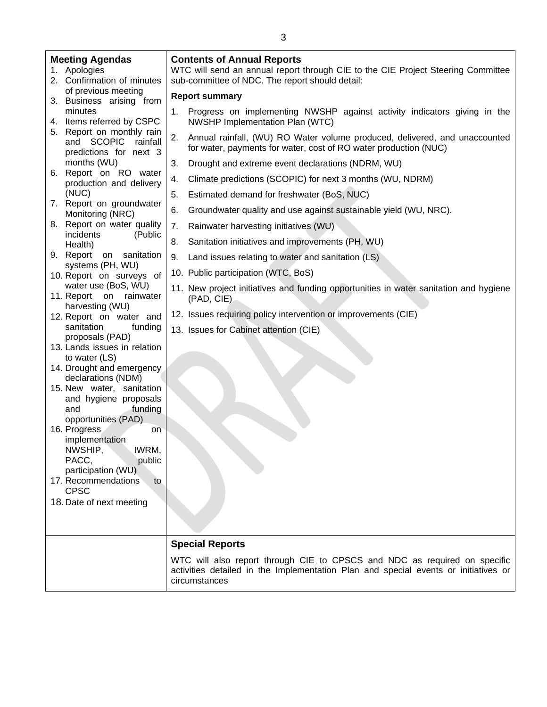| <b>Meeting Agendas</b><br>1. Apologies<br>2. Confirmation of minutes          |    | <b>Contents of Annual Reports</b><br>WTC will send an annual report through CIE to the CIE Project Steering Committee<br>sub-committee of NDC. The report should detail: |
|-------------------------------------------------------------------------------|----|--------------------------------------------------------------------------------------------------------------------------------------------------------------------------|
| of previous meeting<br>3. Business arising from                               |    | <b>Report summary</b>                                                                                                                                                    |
| minutes<br>4. Items referred by CSPC                                          | 1. | Progress on implementing NWSHP against activity indicators giving in the<br>NWSHP Implementation Plan (WTC)                                                              |
| 5. Report on monthly rain<br>and SCOPIC<br>rainfall<br>predictions for next 3 | 2. | Annual rainfall, (WU) RO Water volume produced, delivered, and unaccounted<br>for water, payments for water, cost of RO water production (NUC)                           |
| months (WU)                                                                   | 3. | Drought and extreme event declarations (NDRM, WU)                                                                                                                        |
| 6. Report on RO water                                                         | 4. | Climate predictions (SCOPIC) for next 3 months (WU, NDRM)                                                                                                                |
| production and delivery<br>(NUC)                                              | 5. | Estimated demand for freshwater (BoS, NUC)                                                                                                                               |
| 7. Report on groundwater                                                      | 6. |                                                                                                                                                                          |
| Monitoring (NRC)<br>8. Report on water quality                                |    | Groundwater quality and use against sustainable yield (WU, NRC).                                                                                                         |
| incidents<br>(Public                                                          | 7. | Rainwater harvesting initiatives (WU)                                                                                                                                    |
| Health)                                                                       | 8. | Sanitation initiatives and improvements (PH, WU)                                                                                                                         |
| 9. Report on sanitation<br>systems (PH, WU)                                   | 9. | Land issues relating to water and sanitation (LS)                                                                                                                        |
| 10. Report on surveys of                                                      |    | 10. Public participation (WTC, BoS)                                                                                                                                      |
| water use (BoS, WU)<br>11. Report on rainwater                                |    | 11. New project initiatives and funding opportunities in water sanitation and hygiene<br>(PAD, CIE)                                                                      |
| harvesting (WU)<br>12. Report on water and                                    |    | 12. Issues requiring policy intervention or improvements (CIE)                                                                                                           |
| sanitation<br>funding<br>proposals (PAD)                                      |    | 13. Issues for Cabinet attention (CIE)                                                                                                                                   |
| 13. Lands issues in relation                                                  |    |                                                                                                                                                                          |
| to water (LS)<br>14. Drought and emergency<br>declarations (NDM)              |    |                                                                                                                                                                          |
| 15. New water, sanitation                                                     |    |                                                                                                                                                                          |
| and hygiene proposals<br>funding<br>and                                       |    |                                                                                                                                                                          |
| opportunities (PAD)                                                           |    |                                                                                                                                                                          |
| 16. Progress<br>on<br>implementation                                          |    |                                                                                                                                                                          |
| NWSHIP,<br>IWRM,                                                              |    |                                                                                                                                                                          |
| PACC,<br>public                                                               |    |                                                                                                                                                                          |
| participation (WU)<br>17. Recommendations<br>to<br><b>CPSC</b>                |    |                                                                                                                                                                          |
| 18. Date of next meeting                                                      |    |                                                                                                                                                                          |
|                                                                               |    |                                                                                                                                                                          |
|                                                                               |    |                                                                                                                                                                          |
|                                                                               |    | <b>Special Reports</b>                                                                                                                                                   |
|                                                                               |    | WTC will also report through CIE to CPSCS and NDC as required on specific                                                                                                |
|                                                                               |    | activities detailed in the Implementation Plan and special events or initiatives or<br>circumstances                                                                     |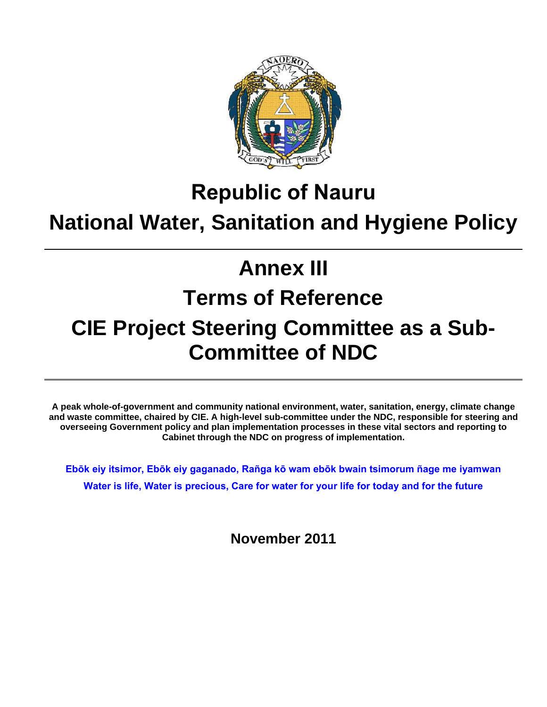

# **Republic of Nauru**

## **National Water, Sanitation and Hygiene Policy**

# **Annex III**

# **Terms of Reference**

# **CIE Project Steering Committee as a Sub-Committee of NDC**

**A peak whole-of-government and community national environment, water, sanitation, energy, climate change and waste committee, chaired by CIE. A high-level sub-committee under the NDC, responsible for steering and overseeing Government policy and plan implementation processes in these vital sectors and reporting to Cabinet through the NDC on progress of implementation.**

**Ebōk eiy itsimor, Ebōk eiy gaganado, Rañga kō wam ebōk bwain tsimorum ñage me iyamwan Water is life, Water is precious, Care for water for your life for today and for the future** 

**November 2011**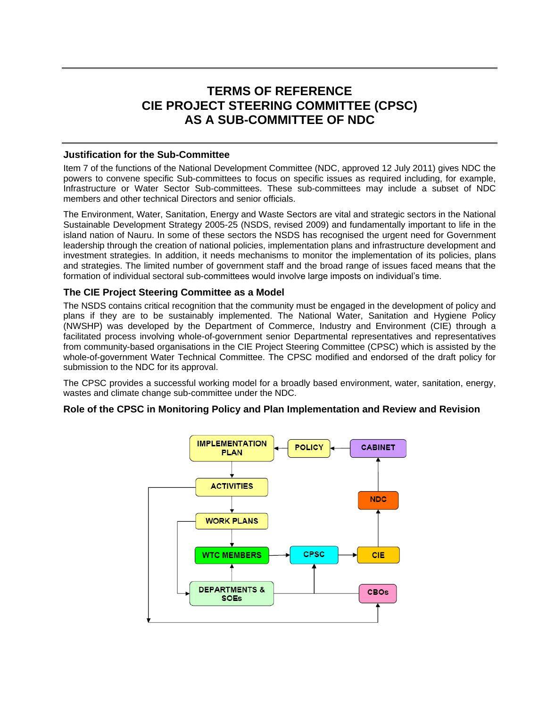### **TERMS OF REFERENCE CIE PROJECT STEERING COMMITTEE (CPSC) AS A SUB-COMMITTEE OF NDC**

#### **Justification for the Sub-Committee**

Item 7 of the functions of the National Development Committee (NDC, approved 12 July 2011) gives NDC the powers to convene specific Sub-committees to focus on specific issues as required including, for example, Infrastructure or Water Sector Sub-committees. These sub-committees may include a subset of NDC members and other technical Directors and senior officials.

The Environment, Water, Sanitation, Energy and Waste Sectors are vital and strategic sectors in the National Sustainable Development Strategy 2005-25 (NSDS, revised 2009) and fundamentally important to life in the island nation of Nauru. In some of these sectors the NSDS has recognised the urgent need for Government leadership through the creation of national policies, implementation plans and infrastructure development and investment strategies. In addition, it needs mechanisms to monitor the implementation of its policies, plans and strategies. The limited number of government staff and the broad range of issues faced means that the formation of individual sectoral sub-committees would involve large imposts on individual's time.

#### **The CIE Project Steering Committee as a Model**

The NSDS contains critical recognition that the community must be engaged in the development of policy and plans if they are to be sustainably implemented. The National Water, Sanitation and Hygiene Policy (NWSHP) was developed by the Department of Commerce, Industry and Environment (CIE) through a facilitated process involving whole-of-government senior Departmental representatives and representatives from community-based organisations in the CIE Project Steering Committee (CPSC) which is assisted by the whole-of-government Water Technical Committee. The CPSC modified and endorsed of the draft policy for submission to the NDC for its approval.

The CPSC provides a successful working model for a broadly based environment, water, sanitation, energy, wastes and climate change sub-committee under the NDC.

#### **Role of the CPSC in Monitoring Policy and Plan Implementation and Review and Revision**